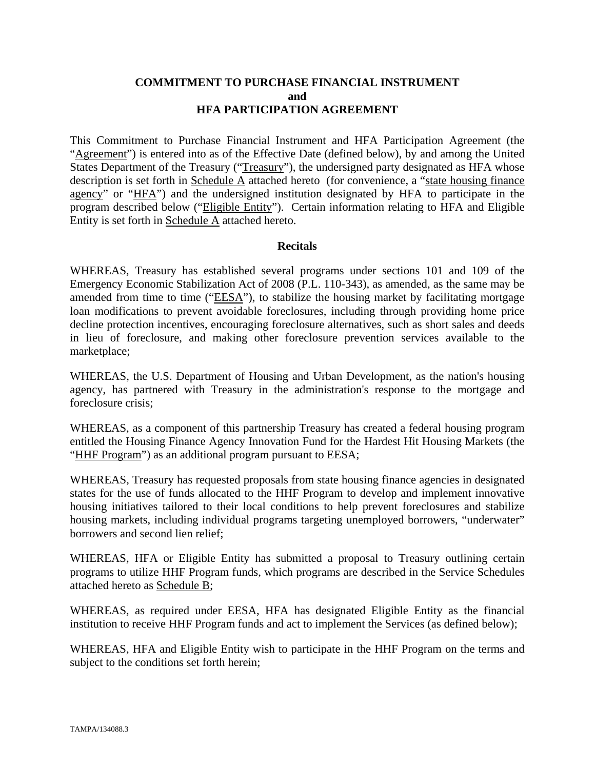## **COMMITMENT TO PURCHASE FINANCIAL INSTRUMENT and HFA PARTICIPATION AGREEMENT**

This Commitment to Purchase Financial Instrument and HFA Participation Agreement (the "Agreement") is entered into as of the Effective Date (defined below), by and among the United States Department of the Treasury ("Treasury"), the undersigned party designated as HFA whose description is set forth in Schedule A attached hereto (for convenience, a "state housing finance agency" or "HFA") and the undersigned institution designated by HFA to participate in the program described below ("Eligible Entity"). Certain information relating to HFA and Eligible Entity is set forth in Schedule A attached hereto.

## **Recitals**

WHEREAS, Treasury has established several programs under sections 101 and 109 of the Emergency Economic Stabilization Act of 2008 (P.L. 110-343), as amended, as the same may be amended from time to time ("EESA"), to stabilize the housing market by facilitating mortgage loan modifications to prevent avoidable foreclosures, including through providing home price decline protection incentives, encouraging foreclosure alternatives, such as short sales and deeds in lieu of foreclosure, and making other foreclosure prevention services available to the marketplace;

WHEREAS, the U.S. Department of Housing and Urban Development, as the nation's housing agency, has partnered with Treasury in the administration's response to the mortgage and foreclosure crisis;

WHEREAS, as a component of this partnership Treasury has created a federal housing program entitled the Housing Finance Agency Innovation Fund for the Hardest Hit Housing Markets (the "HHF Program") as an additional program pursuant to EESA;

WHEREAS, Treasury has requested proposals from state housing finance agencies in designated states for the use of funds allocated to the HHF Program to develop and implement innovative housing initiatives tailored to their local conditions to help prevent foreclosures and stabilize housing markets, including individual programs targeting unemployed borrowers, "underwater" borrowers and second lien relief;

WHEREAS, HFA or Eligible Entity has submitted a proposal to Treasury outlining certain programs to utilize HHF Program funds, which programs are described in the Service Schedules attached hereto as Schedule B;

WHEREAS, as required under EESA, HFA has designated Eligible Entity as the financial institution to receive HHF Program funds and act to implement the Services (as defined below);

WHEREAS, HFA and Eligible Entity wish to participate in the HHF Program on the terms and subject to the conditions set forth herein;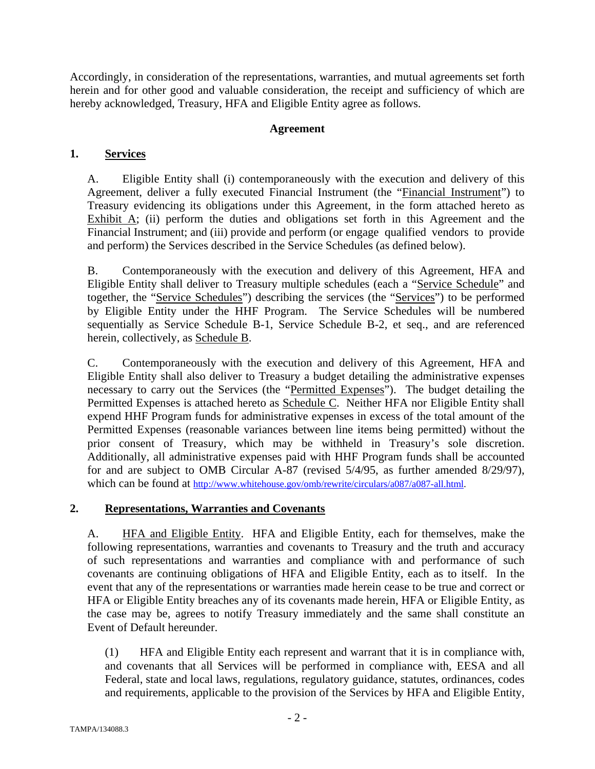Accordingly, in consideration of the representations, warranties, and mutual agreements set forth herein and for other good and valuable consideration, the receipt and sufficiency of which are hereby acknowledged, Treasury, HFA and Eligible Entity agree as follows.

## **Agreement**

# **1. Services**

A. Eligible Entity shall (i) contemporaneously with the execution and delivery of this Agreement, deliver a fully executed Financial Instrument (the "Financial Instrument") to Treasury evidencing its obligations under this Agreement, in the form attached hereto as Exhibit  $\overline{A}$ ; (ii) perform the duties and obligations set forth in this Agreement and the Financial Instrument; and (iii) provide and perform (or engage qualified vendors to provide and perform) the Services described in the Service Schedules (as defined below).

B. Contemporaneously with the execution and delivery of this Agreement, HFA and Eligible Entity shall deliver to Treasury multiple schedules (each a "Service Schedule" and together, the "Service Schedules") describing the services (the "Services") to be performed by Eligible Entity under the HHF Program. The Service Schedules will be numbered sequentially as Service Schedule B-1, Service Schedule B-2, et seq., and are referenced herein, collectively, as Schedule B.

C. Contemporaneously with the execution and delivery of this Agreement, HFA and Eligible Entity shall also deliver to Treasury a budget detailing the administrative expenses necessary to carry out the Services (the "Permitted Expenses"). The budget detailing the Permitted Expenses is attached hereto as Schedule C. Neither HFA nor Eligible Entity shall expend HHF Program funds for administrative expenses in excess of the total amount of the Permitted Expenses (reasonable variances between line items being permitted) without the prior consent of Treasury, which may be withheld in Treasury's sole discretion. Additionally, all administrative expenses paid with HHF Program funds shall be accounted for and are subject to OMB Circular A-87 (revised 5/4/95, as further amended 8/29/97), which can be found at http://www.whitehouse.gov/omb/rewrite/circulars/a087/a087-all.html.

# **2. Representations, Warranties and Covenants**

A. **HFA and Eligible Entity.** HFA and Eligible Entity, each for themselves, make the following representations, warranties and covenants to Treasury and the truth and accuracy of such representations and warranties and compliance with and performance of such covenants are continuing obligations of HFA and Eligible Entity, each as to itself. In the event that any of the representations or warranties made herein cease to be true and correct or HFA or Eligible Entity breaches any of its covenants made herein, HFA or Eligible Entity, as the case may be, agrees to notify Treasury immediately and the same shall constitute an Event of Default hereunder.

(1) HFA and Eligible Entity each represent and warrant that it is in compliance with, and covenants that all Services will be performed in compliance with, EESA and all Federal, state and local laws, regulations, regulatory guidance, statutes, ordinances, codes and requirements, applicable to the provision of the Services by HFA and Eligible Entity,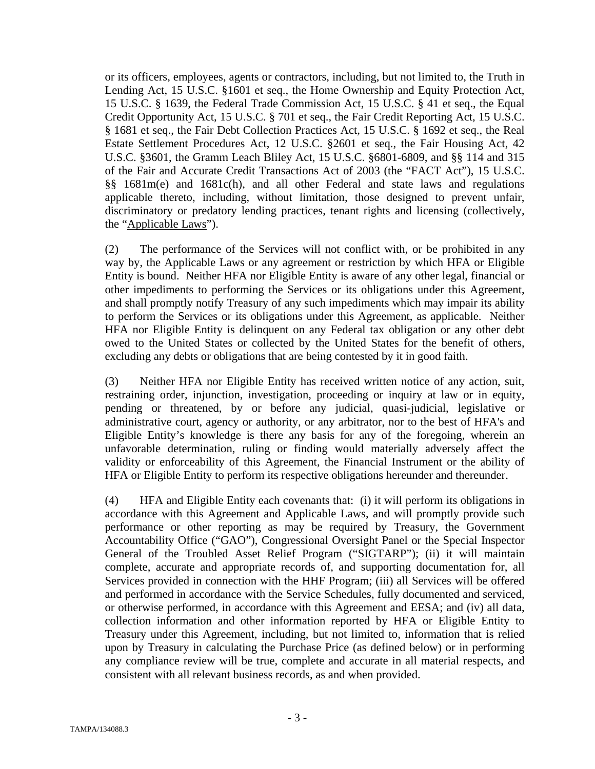or its officers, employees, agents or contractors, including, but not limited to, the Truth in Lending Act, 15 U.S.C. §1601 et seq., the Home Ownership and Equity Protection Act, 15 U.S.C. § 1639, the Federal Trade Commission Act, 15 U.S.C. § 41 et seq., the Equal Credit Opportunity Act, 15 U.S.C. § 701 et seq., the Fair Credit Reporting Act, 15 U.S.C. § 1681 et seq., the Fair Debt Collection Practices Act, 15 U.S.C. § 1692 et seq., the Real Estate Settlement Procedures Act, 12 U.S.C. §2601 et seq., the Fair Housing Act, 42 U.S.C. §3601, the Gramm Leach Bliley Act, 15 U.S.C. §6801-6809, and §§ 114 and 315 of the Fair and Accurate Credit Transactions Act of 2003 (the "FACT Act"), 15 U.S.C. §§ 1681m(e) and 1681c(h), and all other Federal and state laws and regulations applicable thereto, including, without limitation, those designed to prevent unfair, discriminatory or predatory lending practices, tenant rights and licensing (collectively, the "Applicable Laws").

(2) The performance of the Services will not conflict with, or be prohibited in any way by, the Applicable Laws or any agreement or restriction by which HFA or Eligible Entity is bound. Neither HFA nor Eligible Entity is aware of any other legal, financial or other impediments to performing the Services or its obligations under this Agreement, and shall promptly notify Treasury of any such impediments which may impair its ability to perform the Services or its obligations under this Agreement, as applicable. Neither HFA nor Eligible Entity is delinquent on any Federal tax obligation or any other debt owed to the United States or collected by the United States for the benefit of others, excluding any debts or obligations that are being contested by it in good faith.

(3) Neither HFA nor Eligible Entity has received written notice of any action, suit, restraining order, injunction, investigation, proceeding or inquiry at law or in equity, pending or threatened, by or before any judicial, quasi-judicial, legislative or administrative court, agency or authority, or any arbitrator, nor to the best of HFA's and Eligible Entity's knowledge is there any basis for any of the foregoing, wherein an unfavorable determination, ruling or finding would materially adversely affect the validity or enforceability of this Agreement, the Financial Instrument or the ability of HFA or Eligible Entity to perform its respective obligations hereunder and thereunder.

(4) HFA and Eligible Entity each covenants that: (i) it will perform its obligations in accordance with this Agreement and Applicable Laws, and will promptly provide such performance or other reporting as may be required by Treasury, the Government Accountability Office ("GAO"), Congressional Oversight Panel or the Special Inspector General of the Troubled Asset Relief Program ("SIGTARP"); (ii) it will maintain complete, accurate and appropriate records of, and supporting documentation for, all Services provided in connection with the HHF Program; (iii) all Services will be offered and performed in accordance with the Service Schedules, fully documented and serviced, or otherwise performed, in accordance with this Agreement and EESA; and (iv) all data, collection information and other information reported by HFA or Eligible Entity to Treasury under this Agreement, including, but not limited to, information that is relied upon by Treasury in calculating the Purchase Price (as defined below) or in performing any compliance review will be true, complete and accurate in all material respects, and consistent with all relevant business records, as and when provided.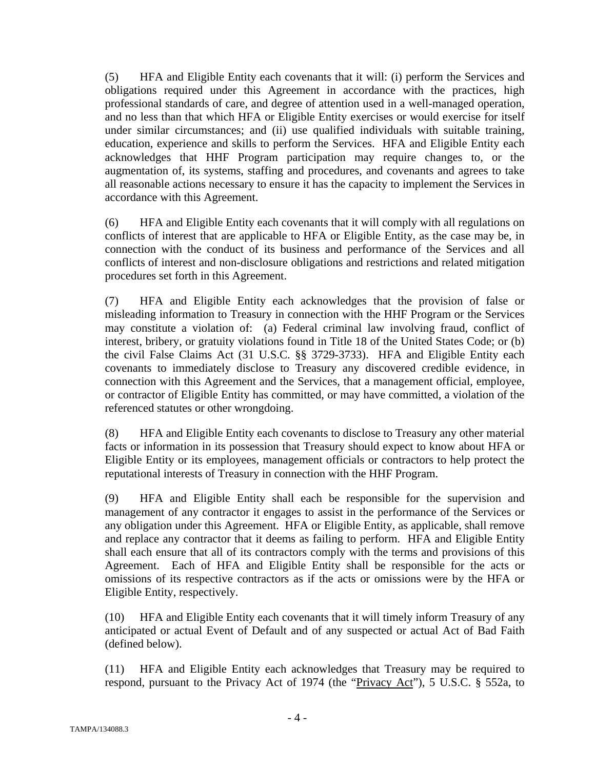(5) HFA and Eligible Entity each covenants that it will: (i) perform the Services and obligations required under this Agreement in accordance with the practices, high professional standards of care, and degree of attention used in a well-managed operation, and no less than that which HFA or Eligible Entity exercises or would exercise for itself under similar circumstances; and (ii) use qualified individuals with suitable training, education, experience and skills to perform the Services. HFA and Eligible Entity each acknowledges that HHF Program participation may require changes to, or the augmentation of, its systems, staffing and procedures, and covenants and agrees to take all reasonable actions necessary to ensure it has the capacity to implement the Services in accordance with this Agreement.

(6) HFA and Eligible Entity each covenants that it will comply with all regulations on conflicts of interest that are applicable to HFA or Eligible Entity, as the case may be, in connection with the conduct of its business and performance of the Services and all conflicts of interest and non-disclosure obligations and restrictions and related mitigation procedures set forth in this Agreement.

(7) HFA and Eligible Entity each acknowledges that the provision of false or misleading information to Treasury in connection with the HHF Program or the Services may constitute a violation of: (a) Federal criminal law involving fraud, conflict of interest, bribery, or gratuity violations found in Title 18 of the United States Code; or (b) the civil False Claims Act (31 U.S.C. §§ 3729-3733). HFA and Eligible Entity each covenants to immediately disclose to Treasury any discovered credible evidence, in connection with this Agreement and the Services, that a management official, employee, or contractor of Eligible Entity has committed, or may have committed, a violation of the referenced statutes or other wrongdoing.

(8) HFA and Eligible Entity each covenants to disclose to Treasury any other material facts or information in its possession that Treasury should expect to know about HFA or Eligible Entity or its employees, management officials or contractors to help protect the reputational interests of Treasury in connection with the HHF Program.

(9) HFA and Eligible Entity shall each be responsible for the supervision and management of any contractor it engages to assist in the performance of the Services or any obligation under this Agreement. HFA or Eligible Entity, as applicable, shall remove and replace any contractor that it deems as failing to perform. HFA and Eligible Entity shall each ensure that all of its contractors comply with the terms and provisions of this Agreement. Each of HFA and Eligible Entity shall be responsible for the acts or omissions of its respective contractors as if the acts or omissions were by the HFA or Eligible Entity, respectively.

(10) HFA and Eligible Entity each covenants that it will timely inform Treasury of any anticipated or actual Event of Default and of any suspected or actual Act of Bad Faith (defined below).

(11) HFA and Eligible Entity each acknowledges that Treasury may be required to respond, pursuant to the Privacy Act of 1974 (the "Privacy Act"), 5 U.S.C. § 552a, to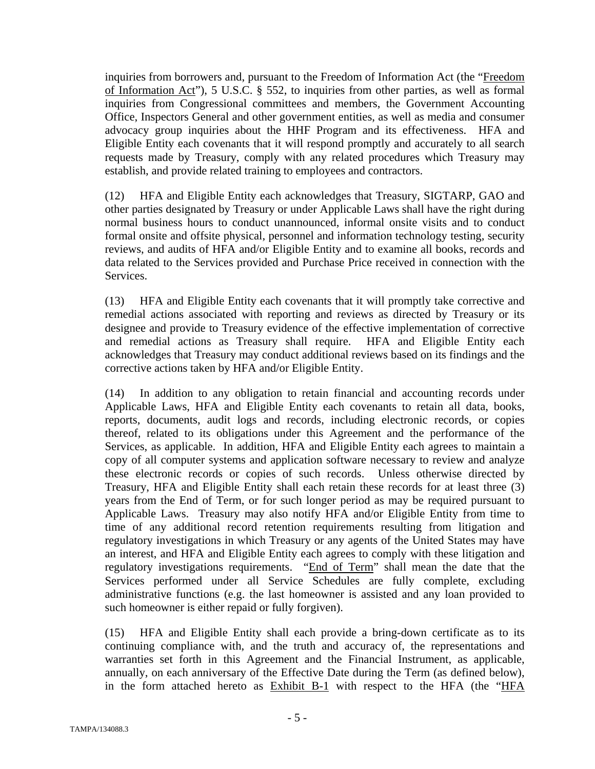inquiries from borrowers and, pursuant to the Freedom of Information Act (the "Freedom of Information Act"), 5 U.S.C. § 552, to inquiries from other parties, as well as formal inquiries from Congressional committees and members, the Government Accounting Office, Inspectors General and other government entities, as well as media and consumer advocacy group inquiries about the HHF Program and its effectiveness. HFA and Eligible Entity each covenants that it will respond promptly and accurately to all search requests made by Treasury, comply with any related procedures which Treasury may establish, and provide related training to employees and contractors.

(12) HFA and Eligible Entity each acknowledges that Treasury, SIGTARP, GAO and other parties designated by Treasury or under Applicable Laws shall have the right during normal business hours to conduct unannounced, informal onsite visits and to conduct formal onsite and offsite physical, personnel and information technology testing, security reviews, and audits of HFA and/or Eligible Entity and to examine all books, records and data related to the Services provided and Purchase Price received in connection with the Services.

(13) HFA and Eligible Entity each covenants that it will promptly take corrective and remedial actions associated with reporting and reviews as directed by Treasury or its designee and provide to Treasury evidence of the effective implementation of corrective and remedial actions as Treasury shall require. HFA and Eligible Entity each acknowledges that Treasury may conduct additional reviews based on its findings and the corrective actions taken by HFA and/or Eligible Entity.

(14) In addition to any obligation to retain financial and accounting records under Applicable Laws, HFA and Eligible Entity each covenants to retain all data, books, reports, documents, audit logs and records, including electronic records, or copies thereof, related to its obligations under this Agreement and the performance of the Services, as applicable. In addition, HFA and Eligible Entity each agrees to maintain a copy of all computer systems and application software necessary to review and analyze these electronic records or copies of such records. Unless otherwise directed by Treasury, HFA and Eligible Entity shall each retain these records for at least three (3) years from the End of Term, or for such longer period as may be required pursuant to Applicable Laws. Treasury may also notify HFA and/or Eligible Entity from time to time of any additional record retention requirements resulting from litigation and regulatory investigations in which Treasury or any agents of the United States may have an interest, and HFA and Eligible Entity each agrees to comply with these litigation and regulatory investigations requirements. "End of Term" shall mean the date that the Services performed under all Service Schedules are fully complete, excluding administrative functions (e.g. the last homeowner is assisted and any loan provided to such homeowner is either repaid or fully forgiven).

(15) HFA and Eligible Entity shall each provide a bring-down certificate as to its continuing compliance with, and the truth and accuracy of, the representations and warranties set forth in this Agreement and the Financial Instrument, as applicable, annually, on each anniversary of the Effective Date during the Term (as defined below), in the form attached hereto as Exhibit B-1 with respect to the HFA (the "HFA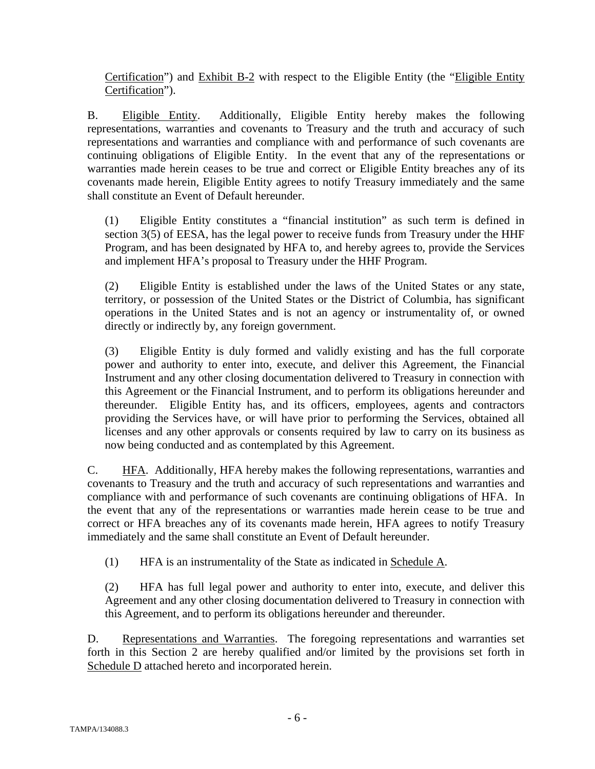Certification") and Exhibit B-2 with respect to the Eligible Entity (the "Eligible Entity Certification").

B. Eligible Entity. Additionally, Eligible Entity hereby makes the following representations, warranties and covenants to Treasury and the truth and accuracy of such representations and warranties and compliance with and performance of such covenants are continuing obligations of Eligible Entity. In the event that any of the representations or warranties made herein ceases to be true and correct or Eligible Entity breaches any of its covenants made herein, Eligible Entity agrees to notify Treasury immediately and the same shall constitute an Event of Default hereunder.

(1) Eligible Entity constitutes a "financial institution" as such term is defined in section 3(5) of EESA, has the legal power to receive funds from Treasury under the HHF Program, and has been designated by HFA to, and hereby agrees to, provide the Services and implement HFA's proposal to Treasury under the HHF Program.

(2) Eligible Entity is established under the laws of the United States or any state, territory, or possession of the United States or the District of Columbia, has significant operations in the United States and is not an agency or instrumentality of, or owned directly or indirectly by, any foreign government.

(3) Eligible Entity is duly formed and validly existing and has the full corporate power and authority to enter into, execute, and deliver this Agreement, the Financial Instrument and any other closing documentation delivered to Treasury in connection with this Agreement or the Financial Instrument, and to perform its obligations hereunder and thereunder. Eligible Entity has, and its officers, employees, agents and contractors providing the Services have, or will have prior to performing the Services, obtained all licenses and any other approvals or consents required by law to carry on its business as now being conducted and as contemplated by this Agreement.

C. HFA. Additionally, HFA hereby makes the following representations, warranties and covenants to Treasury and the truth and accuracy of such representations and warranties and compliance with and performance of such covenants are continuing obligations of HFA. In the event that any of the representations or warranties made herein cease to be true and correct or HFA breaches any of its covenants made herein, HFA agrees to notify Treasury immediately and the same shall constitute an Event of Default hereunder.

(1) HFA is an instrumentality of the State as indicated in Schedule A.

(2) HFA has full legal power and authority to enter into, execute, and deliver this Agreement and any other closing documentation delivered to Treasury in connection with this Agreement, and to perform its obligations hereunder and thereunder.

D. Representations and Warranties. The foregoing representations and warranties set forth in this Section 2 are hereby qualified and/or limited by the provisions set forth in Schedule D attached hereto and incorporated herein.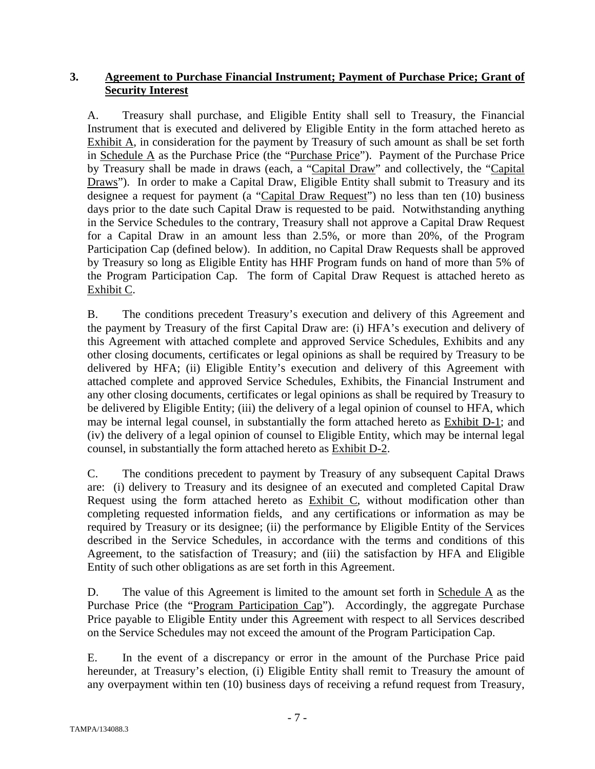# **3. Agreement to Purchase Financial Instrument; Payment of Purchase Price; Grant of Security Interest**

A. Treasury shall purchase, and Eligible Entity shall sell to Treasury, the Financial Instrument that is executed and delivered by Eligible Entity in the form attached hereto as Exhibit A, in consideration for the payment by Treasury of such amount as shall be set forth in Schedule A as the Purchase Price (the "Purchase Price"). Payment of the Purchase Price by Treasury shall be made in draws (each, a "Capital Draw" and collectively, the "Capital Draws"). In order to make a Capital Draw, Eligible Entity shall submit to Treasury and its designee a request for payment (a "Capital Draw Request") no less than ten (10) business days prior to the date such Capital Draw is requested to be paid. Notwithstanding anything in the Service Schedules to the contrary, Treasury shall not approve a Capital Draw Request for a Capital Draw in an amount less than 2.5%, or more than 20%, of the Program Participation Cap (defined below). In addition, no Capital Draw Requests shall be approved by Treasury so long as Eligible Entity has HHF Program funds on hand of more than 5% of the Program Participation Cap. The form of Capital Draw Request is attached hereto as Exhibit C.

B. The conditions precedent Treasury's execution and delivery of this Agreement and the payment by Treasury of the first Capital Draw are: (i) HFA's execution and delivery of this Agreement with attached complete and approved Service Schedules, Exhibits and any other closing documents, certificates or legal opinions as shall be required by Treasury to be delivered by HFA; (ii) Eligible Entity's execution and delivery of this Agreement with attached complete and approved Service Schedules, Exhibits, the Financial Instrument and any other closing documents, certificates or legal opinions as shall be required by Treasury to be delivered by Eligible Entity; (iii) the delivery of a legal opinion of counsel to HFA, which may be internal legal counsel, in substantially the form attached hereto as Exhibit D-1; and (iv) the delivery of a legal opinion of counsel to Eligible Entity, which may be internal legal counsel, in substantially the form attached hereto as Exhibit D-2.

C. The conditions precedent to payment by Treasury of any subsequent Capital Draws are: (i) delivery to Treasury and its designee of an executed and completed Capital Draw Request using the form attached hereto as Exhibit C, without modification other than completing requested information fields, and any certifications or information as may be required by Treasury or its designee; (ii) the performance by Eligible Entity of the Services described in the Service Schedules, in accordance with the terms and conditions of this Agreement, to the satisfaction of Treasury; and (iii) the satisfaction by HFA and Eligible Entity of such other obligations as are set forth in this Agreement.

D. The value of this Agreement is limited to the amount set forth in Schedule  $\overline{A}$  as the Purchase Price (the "Program Participation Cap"). Accordingly, the aggregate Purchase Price payable to Eligible Entity under this Agreement with respect to all Services described on the Service Schedules may not exceed the amount of the Program Participation Cap.

E. In the event of a discrepancy or error in the amount of the Purchase Price paid hereunder, at Treasury's election, (i) Eligible Entity shall remit to Treasury the amount of any overpayment within ten (10) business days of receiving a refund request from Treasury,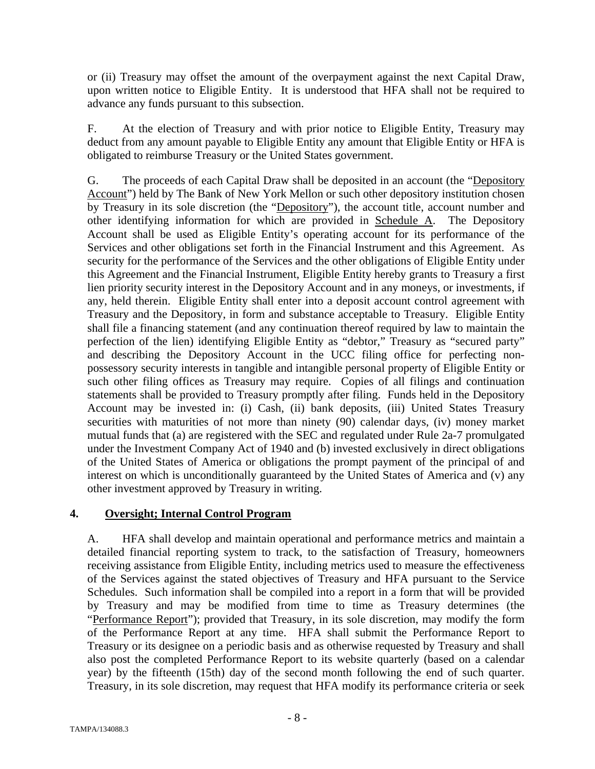or (ii) Treasury may offset the amount of the overpayment against the next Capital Draw, upon written notice to Eligible Entity. It is understood that HFA shall not be required to advance any funds pursuant to this subsection.

F. At the election of Treasury and with prior notice to Eligible Entity, Treasury may deduct from any amount payable to Eligible Entity any amount that Eligible Entity or HFA is obligated to reimburse Treasury or the United States government.

G. The proceeds of each Capital Draw shall be deposited in an account (the "Depository Account") held by The Bank of New York Mellon or such other depository institution chosen by Treasury in its sole discretion (the "Depository"), the account title, account number and other identifying information for which are provided in Schedule A. The Depository Account shall be used as Eligible Entity's operating account for its performance of the Services and other obligations set forth in the Financial Instrument and this Agreement. As security for the performance of the Services and the other obligations of Eligible Entity under this Agreement and the Financial Instrument, Eligible Entity hereby grants to Treasury a first lien priority security interest in the Depository Account and in any moneys, or investments, if any, held therein. Eligible Entity shall enter into a deposit account control agreement with Treasury and the Depository, in form and substance acceptable to Treasury. Eligible Entity shall file a financing statement (and any continuation thereof required by law to maintain the perfection of the lien) identifying Eligible Entity as "debtor," Treasury as "secured party" and describing the Depository Account in the UCC filing office for perfecting nonpossessory security interests in tangible and intangible personal property of Eligible Entity or such other filing offices as Treasury may require. Copies of all filings and continuation statements shall be provided to Treasury promptly after filing. Funds held in the Depository Account may be invested in: (i) Cash, (ii) bank deposits, (iii) United States Treasury securities with maturities of not more than ninety (90) calendar days, (iv) money market mutual funds that (a) are registered with the SEC and regulated under Rule 2a-7 promulgated under the Investment Company Act of 1940 and (b) invested exclusively in direct obligations of the United States of America or obligations the prompt payment of the principal of and interest on which is unconditionally guaranteed by the United States of America and (v) any other investment approved by Treasury in writing.

## **4. Oversight; Internal Control Program**

A. HFA shall develop and maintain operational and performance metrics and maintain a detailed financial reporting system to track, to the satisfaction of Treasury, homeowners receiving assistance from Eligible Entity, including metrics used to measure the effectiveness of the Services against the stated objectives of Treasury and HFA pursuant to the Service Schedules. Such information shall be compiled into a report in a form that will be provided by Treasury and may be modified from time to time as Treasury determines (the "Performance Report"); provided that Treasury, in its sole discretion, may modify the form of the Performance Report at any time. HFA shall submit the Performance Report to Treasury or its designee on a periodic basis and as otherwise requested by Treasury and shall also post the completed Performance Report to its website quarterly (based on a calendar year) by the fifteenth (15th) day of the second month following the end of such quarter. Treasury, in its sole discretion, may request that HFA modify its performance criteria or seek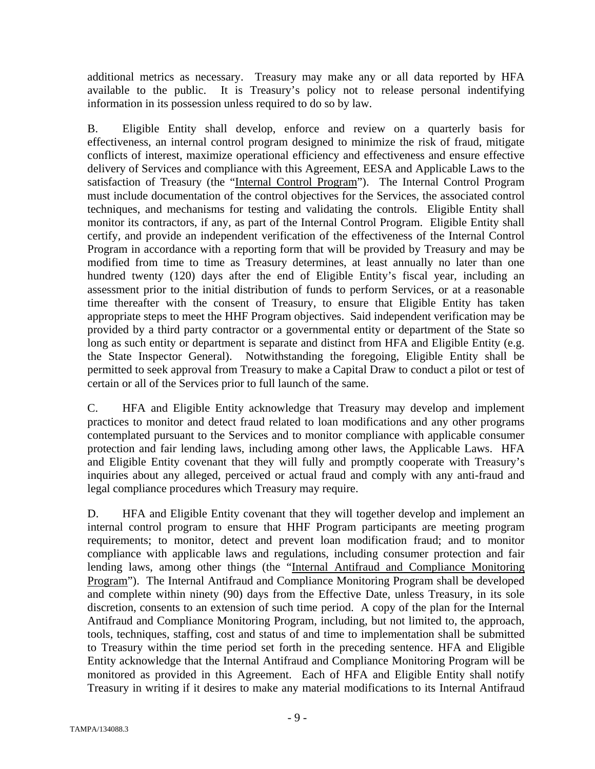additional metrics as necessary. Treasury may make any or all data reported by HFA available to the public. It is Treasury's policy not to release personal indentifying information in its possession unless required to do so by law.

B. Eligible Entity shall develop, enforce and review on a quarterly basis for effectiveness, an internal control program designed to minimize the risk of fraud, mitigate conflicts of interest, maximize operational efficiency and effectiveness and ensure effective delivery of Services and compliance with this Agreement, EESA and Applicable Laws to the satisfaction of Treasury (the "Internal Control Program"). The Internal Control Program must include documentation of the control objectives for the Services, the associated control techniques, and mechanisms for testing and validating the controls. Eligible Entity shall monitor its contractors, if any, as part of the Internal Control Program. Eligible Entity shall certify, and provide an independent verification of the effectiveness of the Internal Control Program in accordance with a reporting form that will be provided by Treasury and may be modified from time to time as Treasury determines, at least annually no later than one hundred twenty (120) days after the end of Eligible Entity's fiscal year, including an assessment prior to the initial distribution of funds to perform Services, or at a reasonable time thereafter with the consent of Treasury, to ensure that Eligible Entity has taken appropriate steps to meet the HHF Program objectives. Said independent verification may be provided by a third party contractor or a governmental entity or department of the State so long as such entity or department is separate and distinct from HFA and Eligible Entity (e.g. the State Inspector General). Notwithstanding the foregoing, Eligible Entity shall be permitted to seek approval from Treasury to make a Capital Draw to conduct a pilot or test of certain or all of the Services prior to full launch of the same.

C. HFA and Eligible Entity acknowledge that Treasury may develop and implement practices to monitor and detect fraud related to loan modifications and any other programs contemplated pursuant to the Services and to monitor compliance with applicable consumer protection and fair lending laws, including among other laws, the Applicable Laws. HFA and Eligible Entity covenant that they will fully and promptly cooperate with Treasury's inquiries about any alleged, perceived or actual fraud and comply with any anti-fraud and legal compliance procedures which Treasury may require.

D. HFA and Eligible Entity covenant that they will together develop and implement an internal control program to ensure that HHF Program participants are meeting program requirements; to monitor, detect and prevent loan modification fraud; and to monitor compliance with applicable laws and regulations, including consumer protection and fair lending laws, among other things (the "Internal Antifraud and Compliance Monitoring Program"). The Internal Antifraud and Compliance Monitoring Program shall be developed and complete within ninety (90) days from the Effective Date, unless Treasury, in its sole discretion, consents to an extension of such time period. A copy of the plan for the Internal Antifraud and Compliance Monitoring Program, including, but not limited to, the approach, tools, techniques, staffing, cost and status of and time to implementation shall be submitted to Treasury within the time period set forth in the preceding sentence. HFA and Eligible Entity acknowledge that the Internal Antifraud and Compliance Monitoring Program will be monitored as provided in this Agreement. Each of HFA and Eligible Entity shall notify Treasury in writing if it desires to make any material modifications to its Internal Antifraud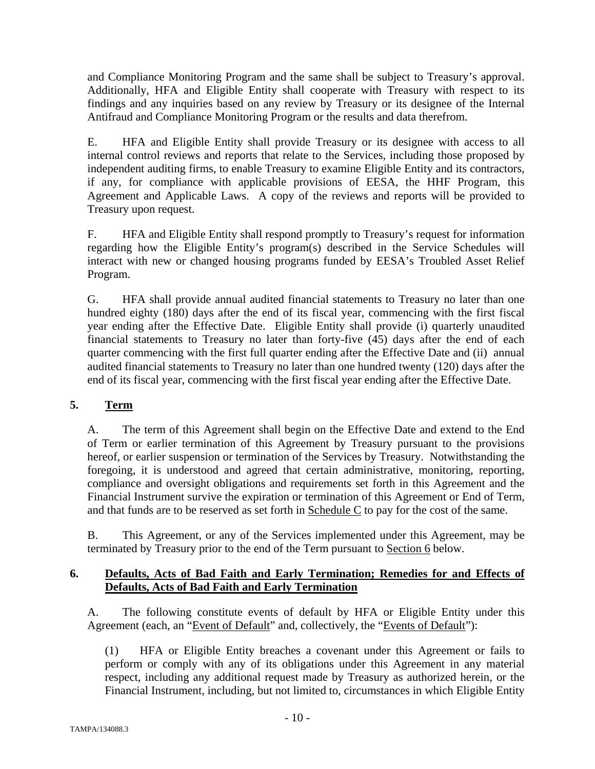and Compliance Monitoring Program and the same shall be subject to Treasury's approval. Additionally, HFA and Eligible Entity shall cooperate with Treasury with respect to its findings and any inquiries based on any review by Treasury or its designee of the Internal Antifraud and Compliance Monitoring Program or the results and data therefrom.

E. HFA and Eligible Entity shall provide Treasury or its designee with access to all internal control reviews and reports that relate to the Services, including those proposed by independent auditing firms, to enable Treasury to examine Eligible Entity and its contractors, if any, for compliance with applicable provisions of EESA, the HHF Program, this Agreement and Applicable Laws. A copy of the reviews and reports will be provided to Treasury upon request.

F. HFA and Eligible Entity shall respond promptly to Treasury's request for information regarding how the Eligible Entity's program(s) described in the Service Schedules will interact with new or changed housing programs funded by EESA's Troubled Asset Relief Program.

G. HFA shall provide annual audited financial statements to Treasury no later than one hundred eighty (180) days after the end of its fiscal year, commencing with the first fiscal year ending after the Effective Date. Eligible Entity shall provide (i) quarterly unaudited financial statements to Treasury no later than forty-five (45) days after the end of each quarter commencing with the first full quarter ending after the Effective Date and (ii) annual audited financial statements to Treasury no later than one hundred twenty (120) days after the end of its fiscal year, commencing with the first fiscal year ending after the Effective Date.

# **5. Term**

A. The term of this Agreement shall begin on the Effective Date and extend to the End of Term or earlier termination of this Agreement by Treasury pursuant to the provisions hereof, or earlier suspension or termination of the Services by Treasury. Notwithstanding the foregoing, it is understood and agreed that certain administrative, monitoring, reporting, compliance and oversight obligations and requirements set forth in this Agreement and the Financial Instrument survive the expiration or termination of this Agreement or End of Term, and that funds are to be reserved as set forth in Schedule C to pay for the cost of the same.

B. This Agreement, or any of the Services implemented under this Agreement, may be terminated by Treasury prior to the end of the Term pursuant to Section 6 below.

# **6. Defaults, Acts of Bad Faith and Early Termination; Remedies for and Effects of Defaults, Acts of Bad Faith and Early Termination**

A. The following constitute events of default by HFA or Eligible Entity under this Agreement (each, an "Event of Default" and, collectively, the "Events of Default"):

(1) HFA or Eligible Entity breaches a covenant under this Agreement or fails to perform or comply with any of its obligations under this Agreement in any material respect, including any additional request made by Treasury as authorized herein, or the Financial Instrument, including, but not limited to, circumstances in which Eligible Entity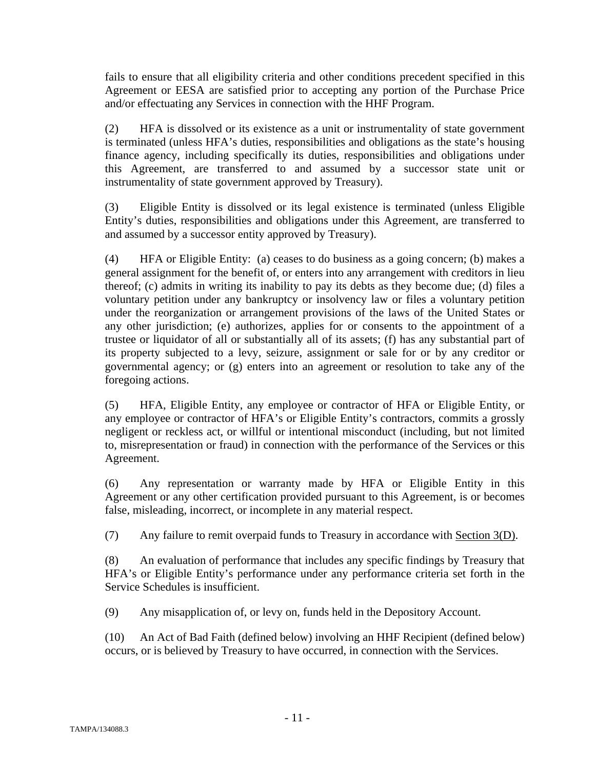fails to ensure that all eligibility criteria and other conditions precedent specified in this Agreement or EESA are satisfied prior to accepting any portion of the Purchase Price and/or effectuating any Services in connection with the HHF Program.

(2) HFA is dissolved or its existence as a unit or instrumentality of state government is terminated (unless HFA's duties, responsibilities and obligations as the state's housing finance agency, including specifically its duties, responsibilities and obligations under this Agreement, are transferred to and assumed by a successor state unit or instrumentality of state government approved by Treasury).

(3) Eligible Entity is dissolved or its legal existence is terminated (unless Eligible Entity's duties, responsibilities and obligations under this Agreement, are transferred to and assumed by a successor entity approved by Treasury).

(4) HFA or Eligible Entity: (a) ceases to do business as a going concern; (b) makes a general assignment for the benefit of, or enters into any arrangement with creditors in lieu thereof; (c) admits in writing its inability to pay its debts as they become due; (d) files a voluntary petition under any bankruptcy or insolvency law or files a voluntary petition under the reorganization or arrangement provisions of the laws of the United States or any other jurisdiction; (e) authorizes, applies for or consents to the appointment of a trustee or liquidator of all or substantially all of its assets; (f) has any substantial part of its property subjected to a levy, seizure, assignment or sale for or by any creditor or governmental agency; or (g) enters into an agreement or resolution to take any of the foregoing actions.

(5) HFA, Eligible Entity, any employee or contractor of HFA or Eligible Entity, or any employee or contractor of HFA's or Eligible Entity's contractors, commits a grossly negligent or reckless act, or willful or intentional misconduct (including, but not limited to, misrepresentation or fraud) in connection with the performance of the Services or this Agreement.

(6) Any representation or warranty made by HFA or Eligible Entity in this Agreement or any other certification provided pursuant to this Agreement, is or becomes false, misleading, incorrect, or incomplete in any material respect.

(7) Any failure to remit overpaid funds to Treasury in accordance with Section 3(D).

(8) An evaluation of performance that includes any specific findings by Treasury that HFA's or Eligible Entity's performance under any performance criteria set forth in the Service Schedules is insufficient.

(9) Any misapplication of, or levy on, funds held in the Depository Account.

(10) An Act of Bad Faith (defined below) involving an HHF Recipient (defined below) occurs, or is believed by Treasury to have occurred, in connection with the Services.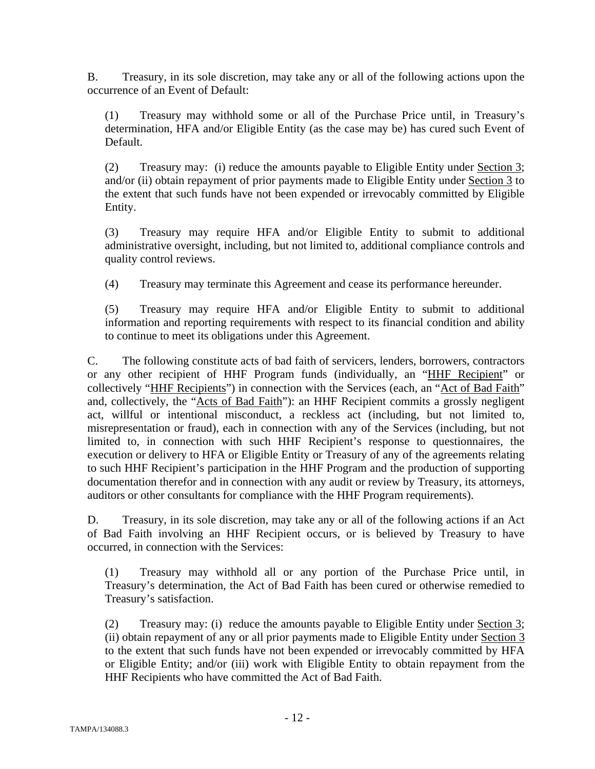B. Treasury, in its sole discretion, may take any or all of the following actions upon the occurrence of an Event of Default:

(1) Treasury may withhold some or all of the Purchase Price until, in Treasury's determination, HFA and/or Eligible Entity (as the case may be) has cured such Event of Default.

(2) Treasury may: (i) reduce the amounts payable to Eligible Entity under Section 3; and/or (ii) obtain repayment of prior payments made to Eligible Entity under Section 3 to the extent that such funds have not been expended or irrevocably committed by Eligible Entity.

(3) Treasury may require HFA and/or Eligible Entity to submit to additional administrative oversight, including, but not limited to, additional compliance controls and quality control reviews.

(4) Treasury may terminate this Agreement and cease its performance hereunder.

(5) Treasury may require HFA and/or Eligible Entity to submit to additional information and reporting requirements with respect to its financial condition and ability to continue to meet its obligations under this Agreement.

C. The following constitute acts of bad faith of servicers, lenders, borrowers, contractors or any other recipient of HHF Program funds (individually, an "HHF Recipient" or collectively "HHF Recipients") in connection with the Services (each, an "Act of Bad Faith" and, collectively, the "Acts of Bad Faith"): an HHF Recipient commits a grossly negligent act, willful or intentional misconduct, a reckless act (including, but not limited to, misrepresentation or fraud), each in connection with any of the Services (including, but not limited to, in connection with such HHF Recipient's response to questionnaires, the execution or delivery to HFA or Eligible Entity or Treasury of any of the agreements relating to such HHF Recipient's participation in the HHF Program and the production of supporting documentation therefor and in connection with any audit or review by Treasury, its attorneys, auditors or other consultants for compliance with the HHF Program requirements).

D. Treasury, in its sole discretion, may take any or all of the following actions if an Act of Bad Faith involving an HHF Recipient occurs, or is believed by Treasury to have occurred, in connection with the Services:

(1) Treasury may withhold all or any portion of the Purchase Price until, in Treasury's determination, the Act of Bad Faith has been cured or otherwise remedied to Treasury's satisfaction.

(2) Treasury may: (i) reduce the amounts payable to Eligible Entity under Section 3; (ii) obtain repayment of any or all prior payments made to Eligible Entity under Section 3 to the extent that such funds have not been expended or irrevocably committed by HFA or Eligible Entity; and/or (iii) work with Eligible Entity to obtain repayment from the HHF Recipients who have committed the Act of Bad Faith.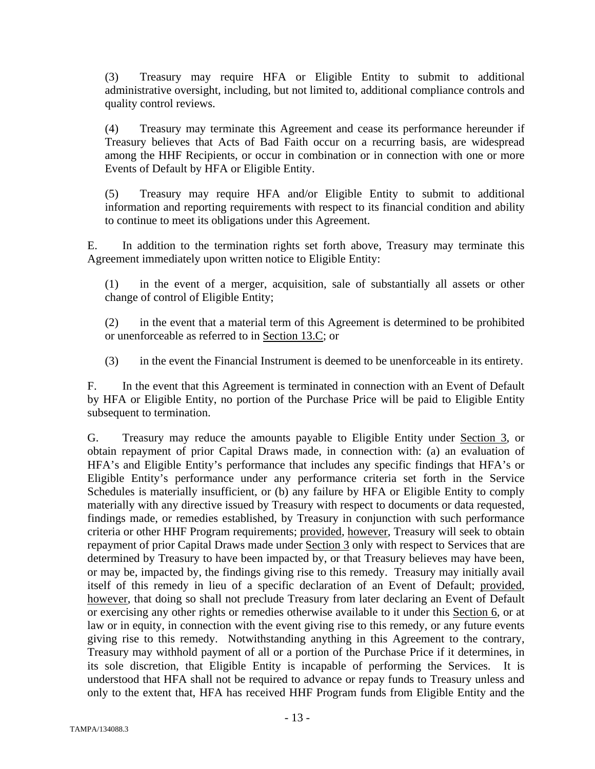(3) Treasury may require HFA or Eligible Entity to submit to additional administrative oversight, including, but not limited to, additional compliance controls and quality control reviews.

(4) Treasury may terminate this Agreement and cease its performance hereunder if Treasury believes that Acts of Bad Faith occur on a recurring basis, are widespread among the HHF Recipients, or occur in combination or in connection with one or more Events of Default by HFA or Eligible Entity.

(5) Treasury may require HFA and/or Eligible Entity to submit to additional information and reporting requirements with respect to its financial condition and ability to continue to meet its obligations under this Agreement.

E. In addition to the termination rights set forth above, Treasury may terminate this Agreement immediately upon written notice to Eligible Entity:

(1) in the event of a merger, acquisition, sale of substantially all assets or other change of control of Eligible Entity;

(2) in the event that a material term of this Agreement is determined to be prohibited or unenforceable as referred to in Section 13.C; or

(3) in the event the Financial Instrument is deemed to be unenforceable in its entirety.

F. In the event that this Agreement is terminated in connection with an Event of Default by HFA or Eligible Entity, no portion of the Purchase Price will be paid to Eligible Entity subsequent to termination.

G. Treasury may reduce the amounts payable to Eligible Entity under Section 3, or obtain repayment of prior Capital Draws made, in connection with: (a) an evaluation of HFA's and Eligible Entity's performance that includes any specific findings that HFA's or Eligible Entity's performance under any performance criteria set forth in the Service Schedules is materially insufficient, or (b) any failure by HFA or Eligible Entity to comply materially with any directive issued by Treasury with respect to documents or data requested, findings made, or remedies established, by Treasury in conjunction with such performance criteria or other HHF Program requirements; provided, however, Treasury will seek to obtain repayment of prior Capital Draws made under Section 3 only with respect to Services that are determined by Treasury to have been impacted by, or that Treasury believes may have been, or may be, impacted by, the findings giving rise to this remedy. Treasury may initially avail itself of this remedy in lieu of a specific declaration of an Event of Default; provided, however, that doing so shall not preclude Treasury from later declaring an Event of Default or exercising any other rights or remedies otherwise available to it under this Section 6, or at law or in equity, in connection with the event giving rise to this remedy, or any future events giving rise to this remedy. Notwithstanding anything in this Agreement to the contrary, Treasury may withhold payment of all or a portion of the Purchase Price if it determines, in its sole discretion, that Eligible Entity is incapable of performing the Services. It is understood that HFA shall not be required to advance or repay funds to Treasury unless and only to the extent that, HFA has received HHF Program funds from Eligible Entity and the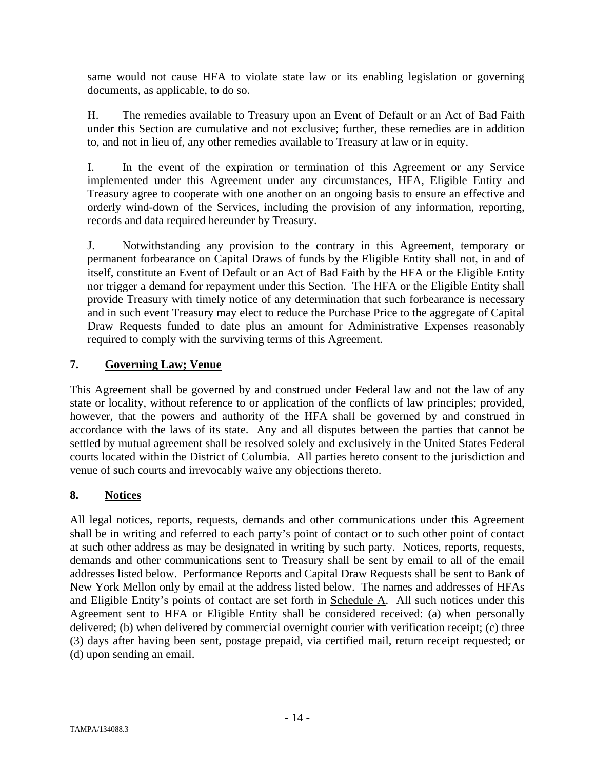same would not cause HFA to violate state law or its enabling legislation or governing documents, as applicable, to do so.

H. The remedies available to Treasury upon an Event of Default or an Act of Bad Faith under this Section are cumulative and not exclusive; further, these remedies are in addition to, and not in lieu of, any other remedies available to Treasury at law or in equity.

I. In the event of the expiration or termination of this Agreement or any Service implemented under this Agreement under any circumstances, HFA, Eligible Entity and Treasury agree to cooperate with one another on an ongoing basis to ensure an effective and orderly wind-down of the Services, including the provision of any information, reporting, records and data required hereunder by Treasury.

J. Notwithstanding any provision to the contrary in this Agreement, temporary or permanent forbearance on Capital Draws of funds by the Eligible Entity shall not, in and of itself, constitute an Event of Default or an Act of Bad Faith by the HFA or the Eligible Entity nor trigger a demand for repayment under this Section. The HFA or the Eligible Entity shall provide Treasury with timely notice of any determination that such forbearance is necessary and in such event Treasury may elect to reduce the Purchase Price to the aggregate of Capital Draw Requests funded to date plus an amount for Administrative Expenses reasonably required to comply with the surviving terms of this Agreement.

## **7. Governing Law; Venue**

This Agreement shall be governed by and construed under Federal law and not the law of any state or locality, without reference to or application of the conflicts of law principles; provided, however, that the powers and authority of the HFA shall be governed by and construed in accordance with the laws of its state. Any and all disputes between the parties that cannot be settled by mutual agreement shall be resolved solely and exclusively in the United States Federal courts located within the District of Columbia. All parties hereto consent to the jurisdiction and venue of such courts and irrevocably waive any objections thereto.

# **8. Notices**

All legal notices, reports, requests, demands and other communications under this Agreement shall be in writing and referred to each party's point of contact or to such other point of contact at such other address as may be designated in writing by such party. Notices, reports, requests, demands and other communications sent to Treasury shall be sent by email to all of the email addresses listed below. Performance Reports and Capital Draw Requests shall be sent to Bank of New York Mellon only by email at the address listed below. The names and addresses of HFAs and Eligible Entity's points of contact are set forth in Schedule A. All such notices under this Agreement sent to HFA or Eligible Entity shall be considered received: (a) when personally delivered; (b) when delivered by commercial overnight courier with verification receipt; (c) three (3) days after having been sent, postage prepaid, via certified mail, return receipt requested; or (d) upon sending an email.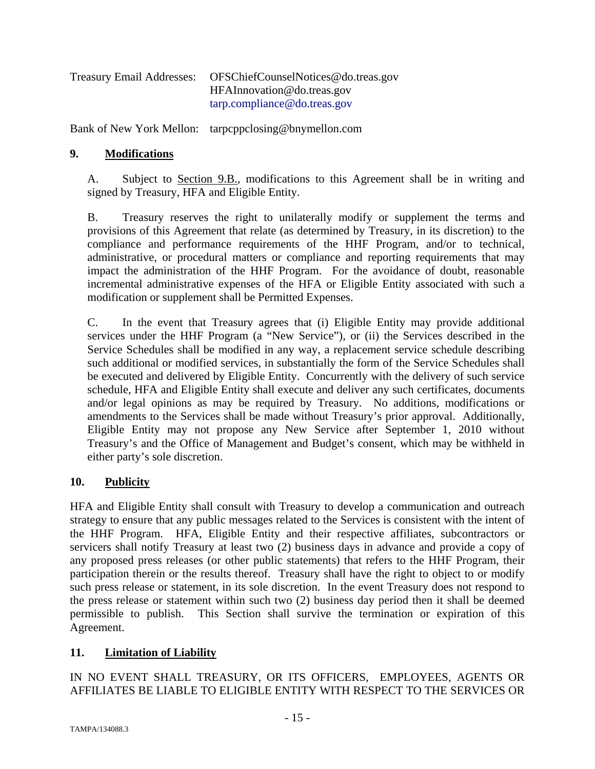| <b>Treasury Email Addresses:</b> | OFSChiefCounselNotices@do.treas.gov |
|----------------------------------|-------------------------------------|
|                                  | HFAInnovation@do.treas.gov          |
|                                  | tarp.compline@do.treas.gov          |

Bank of New York Mellon: tarpcppclosing@bnymellon.com

## **9. Modifications**

A. Subject to Section 9.B., modifications to this Agreement shall be in writing and signed by Treasury, HFA and Eligible Entity.

B. Treasury reserves the right to unilaterally modify or supplement the terms and provisions of this Agreement that relate (as determined by Treasury, in its discretion) to the compliance and performance requirements of the HHF Program, and/or to technical, administrative, or procedural matters or compliance and reporting requirements that may impact the administration of the HHF Program. For the avoidance of doubt, reasonable incremental administrative expenses of the HFA or Eligible Entity associated with such a modification or supplement shall be Permitted Expenses.

C. In the event that Treasury agrees that (i) Eligible Entity may provide additional services under the HHF Program (a "New Service"), or (ii) the Services described in the Service Schedules shall be modified in any way, a replacement service schedule describing such additional or modified services, in substantially the form of the Service Schedules shall be executed and delivered by Eligible Entity. Concurrently with the delivery of such service schedule, HFA and Eligible Entity shall execute and deliver any such certificates, documents and/or legal opinions as may be required by Treasury. No additions, modifications or amendments to the Services shall be made without Treasury's prior approval. Additionally, Eligible Entity may not propose any New Service after September 1, 2010 without Treasury's and the Office of Management and Budget's consent, which may be withheld in either party's sole discretion.

## **10. Publicity**

HFA and Eligible Entity shall consult with Treasury to develop a communication and outreach strategy to ensure that any public messages related to the Services is consistent with the intent of the HHF Program. HFA, Eligible Entity and their respective affiliates, subcontractors or servicers shall notify Treasury at least two (2) business days in advance and provide a copy of any proposed press releases (or other public statements) that refers to the HHF Program, their participation therein or the results thereof. Treasury shall have the right to object to or modify such press release or statement, in its sole discretion. In the event Treasury does not respond to the press release or statement within such two (2) business day period then it shall be deemed permissible to publish. This Section shall survive the termination or expiration of this Agreement.

## **11. Limitation of Liability**

IN NO EVENT SHALL TREASURY, OR ITS OFFICERS, EMPLOYEES, AGENTS OR AFFILIATES BE LIABLE TO ELIGIBLE ENTITY WITH RESPECT TO THE SERVICES OR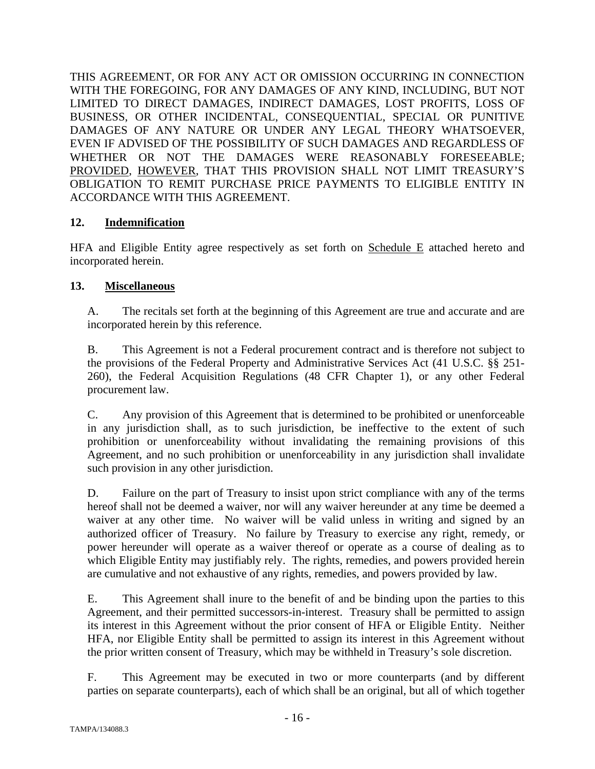THIS AGREEMENT, OR FOR ANY ACT OR OMISSION OCCURRING IN CONNECTION WITH THE FOREGOING, FOR ANY DAMAGES OF ANY KIND, INCLUDING, BUT NOT LIMITED TO DIRECT DAMAGES, INDIRECT DAMAGES, LOST PROFITS, LOSS OF BUSINESS, OR OTHER INCIDENTAL, CONSEQUENTIAL, SPECIAL OR PUNITIVE DAMAGES OF ANY NATURE OR UNDER ANY LEGAL THEORY WHATSOEVER, EVEN IF ADVISED OF THE POSSIBILITY OF SUCH DAMAGES AND REGARDLESS OF WHETHER OR NOT THE DAMAGES WERE REASONABLY FORESEEABLE; PROVIDED, HOWEVER, THAT THIS PROVISION SHALL NOT LIMIT TREASURY'S OBLIGATION TO REMIT PURCHASE PRICE PAYMENTS TO ELIGIBLE ENTITY IN ACCORDANCE WITH THIS AGREEMENT.

## **12. Indemnification**

HFA and Eligible Entity agree respectively as set forth on Schedule E attached hereto and incorporated herein.

# **13. Miscellaneous**

A. The recitals set forth at the beginning of this Agreement are true and accurate and are incorporated herein by this reference.

B. This Agreement is not a Federal procurement contract and is therefore not subject to the provisions of the Federal Property and Administrative Services Act (41 U.S.C. §§ 251- 260), the Federal Acquisition Regulations (48 CFR Chapter 1), or any other Federal procurement law.

C. Any provision of this Agreement that is determined to be prohibited or unenforceable in any jurisdiction shall, as to such jurisdiction, be ineffective to the extent of such prohibition or unenforceability without invalidating the remaining provisions of this Agreement, and no such prohibition or unenforceability in any jurisdiction shall invalidate such provision in any other jurisdiction.

D. Failure on the part of Treasury to insist upon strict compliance with any of the terms hereof shall not be deemed a waiver, nor will any waiver hereunder at any time be deemed a waiver at any other time. No waiver will be valid unless in writing and signed by an authorized officer of Treasury. No failure by Treasury to exercise any right, remedy, or power hereunder will operate as a waiver thereof or operate as a course of dealing as to which Eligible Entity may justifiably rely. The rights, remedies, and powers provided herein are cumulative and not exhaustive of any rights, remedies, and powers provided by law.

E. This Agreement shall inure to the benefit of and be binding upon the parties to this Agreement, and their permitted successors-in-interest. Treasury shall be permitted to assign its interest in this Agreement without the prior consent of HFA or Eligible Entity. Neither HFA, nor Eligible Entity shall be permitted to assign its interest in this Agreement without the prior written consent of Treasury, which may be withheld in Treasury's sole discretion.

F. This Agreement may be executed in two or more counterparts (and by different parties on separate counterparts), each of which shall be an original, but all of which together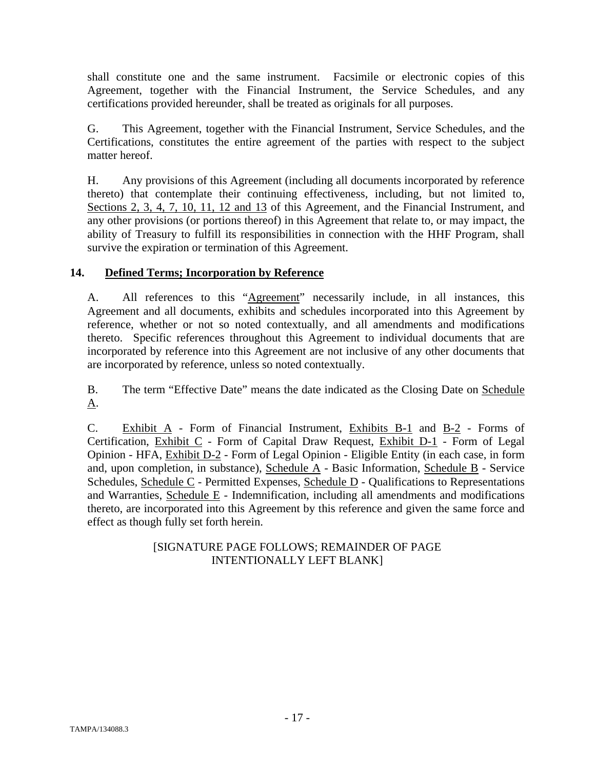shall constitute one and the same instrument. Facsimile or electronic copies of this Agreement, together with the Financial Instrument, the Service Schedules, and any certifications provided hereunder, shall be treated as originals for all purposes.

G. This Agreement, together with the Financial Instrument, Service Schedules, and the Certifications, constitutes the entire agreement of the parties with respect to the subject matter hereof.

H. Any provisions of this Agreement (including all documents incorporated by reference thereto) that contemplate their continuing effectiveness, including, but not limited to, Sections 2, 3, 4, 7, 10, 11, 12 and 13 of this Agreement, and the Financial Instrument, and any other provisions (or portions thereof) in this Agreement that relate to, or may impact, the ability of Treasury to fulfill its responsibilities in connection with the HHF Program, shall survive the expiration or termination of this Agreement.

# **14. Defined Terms; Incorporation by Reference**

A. All references to this "Agreement" necessarily include, in all instances, this Agreement and all documents, exhibits and schedules incorporated into this Agreement by reference, whether or not so noted contextually, and all amendments and modifications thereto. Specific references throughout this Agreement to individual documents that are incorporated by reference into this Agreement are not inclusive of any other documents that are incorporated by reference, unless so noted contextually.

B. The term "Effective Date" means the date indicated as the Closing Date on Schedule A.

C. Exhibit A - Form of Financial Instrument, Exhibits B-1 and B-2 - Forms of Certification, Exhibit C - Form of Capital Draw Request, Exhibit D-1 - Form of Legal Opinion - HFA, Exhibit D-2 - Form of Legal Opinion - Eligible Entity (in each case, in form and, upon completion, in substance), Schedule A - Basic Information, Schedule B - Service Schedules, Schedule C - Permitted Expenses, Schedule D - Qualifications to Representations and Warranties, Schedule E - Indemnification, including all amendments and modifications thereto, are incorporated into this Agreement by this reference and given the same force and effect as though fully set forth herein.

# [SIGNATURE PAGE FOLLOWS; REMAINDER OF PAGE INTENTIONALLY LEFT BLANK]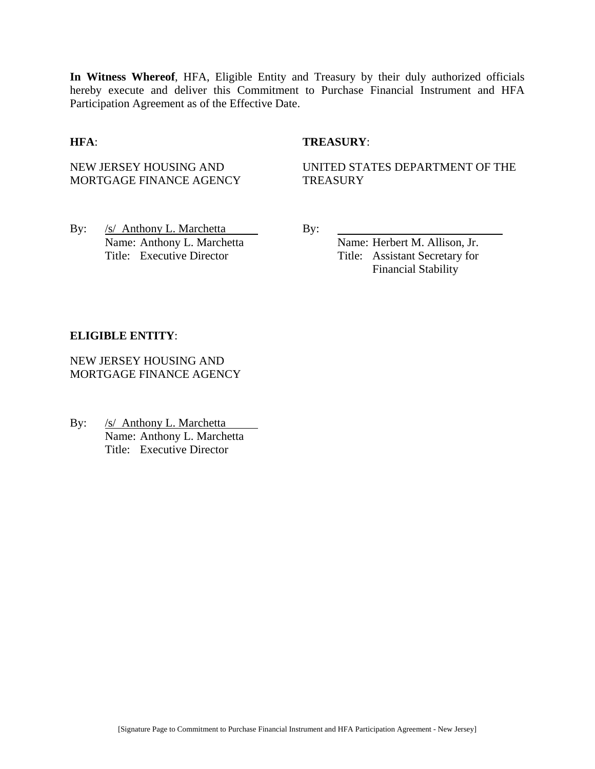**In Witness Whereof**, HFA, Eligible Entity and Treasury by their duly authorized officials hereby execute and deliver this Commitment to Purchase Financial Instrument and HFA Participation Agreement as of the Effective Date.

## **HFA**: **TREASURY**:

NEW JERSEY HOUSING AND MORTGAGE FINANCE AGENCY UNITED STATES DEPARTMENT OF THE **TREASURY** 

By: /s/ Anthony L. Marchetta By: Name: Anthony L. Marchetta Name: Herbert M. Allison, Jr. Title: Executive Director Title: Assistant Secretary for

Financial Stability

#### **ELIGIBLE ENTITY**:

NEW JERSEY HOUSING AND MORTGAGE FINANCE AGENCY

By: /s/ Anthony L. Marchetta Name: Anthony L. Marchetta Title: Executive Director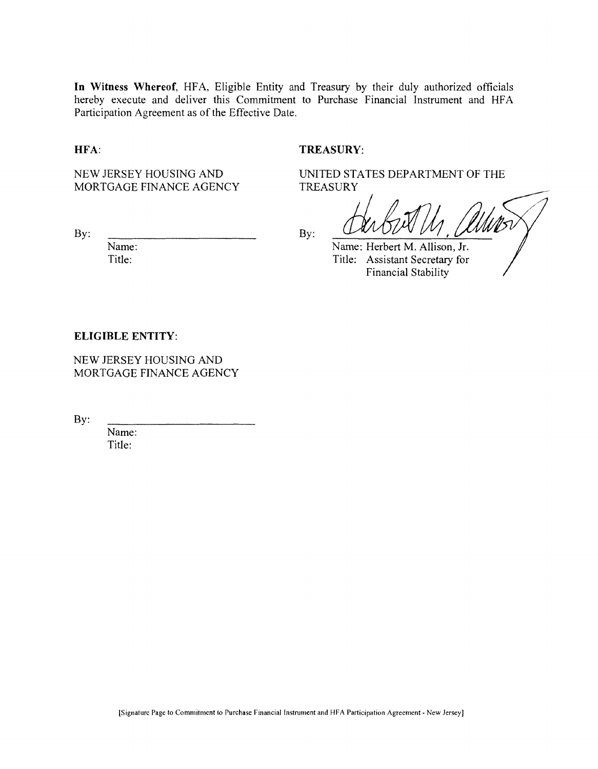**In Witness Whereof,** HFA, Eligible Entity and Treasury by their duly authorized officials hereby execute and deliver this Commitment to Purchase Financial Instrument and HFA Participation Agreement as of the Effective Date.

#### **HFA:**

## **TREASURY:**

TREASURY

NEW JERSEY HOUSING AND MORTGAGE FINANCE AGENCY

By:

Name: Title:

By:

Name: Herbert M. Allison, Jr. Title: Assistant Secretary for Financial Stability

UNITED STATES DEPARTMENT OF THE

#### **ELIGIBLE ENTITY:**

NEW JERSEY HOUSING AND MORTGAGE FINANCE AGENCY

By:

Name: Title: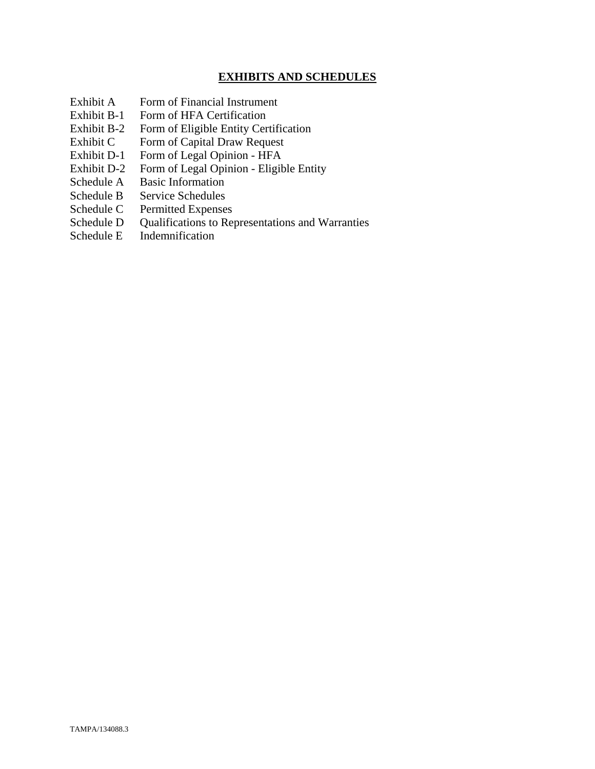## **EXHIBITS AND SCHEDULES**

- Exhibit A Form of Financial Instrument
- Exhibit B-1 Form of HFA Certification
- Exhibit B-2 Form of Eligible Entity Certification
- Exhibit C Form of Capital Draw Request
- Exhibit D-1 Form of Legal Opinion HFA
- Exhibit D-2 Form of Legal Opinion Eligible Entity
- Schedule A Basic Information
- Schedule B Service Schedules
- Schedule C Permitted Expenses
- Schedule D Qualifications to Representations and Warranties
- Schedule E Indemnification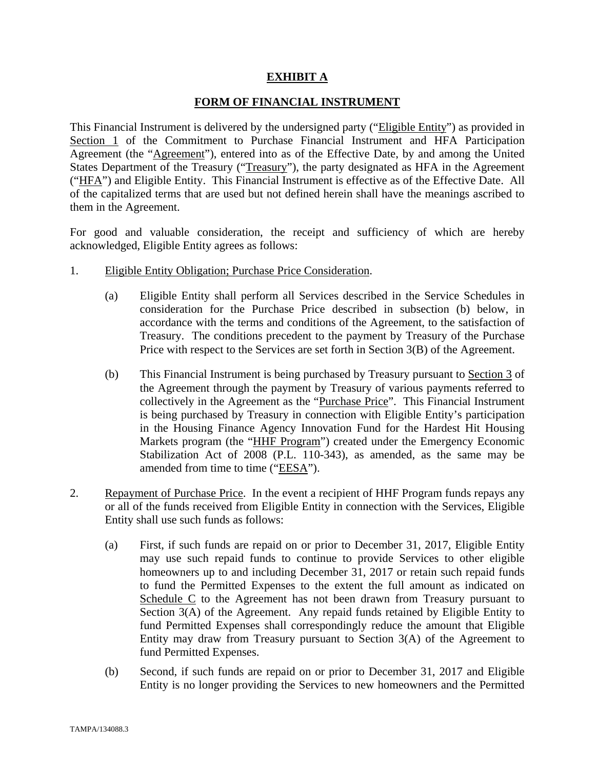## **EXHIBIT A**

## **FORM OF FINANCIAL INSTRUMENT**

This Financial Instrument is delivered by the undersigned party ("Eligible Entity") as provided in Section 1 of the Commitment to Purchase Financial Instrument and HFA Participation Agreement (the "Agreement"), entered into as of the Effective Date, by and among the United States Department of the Treasury ("Treasury"), the party designated as HFA in the Agreement ("HFA") and Eligible Entity. This Financial Instrument is effective as of the Effective Date. All of the capitalized terms that are used but not defined herein shall have the meanings ascribed to them in the Agreement.

For good and valuable consideration, the receipt and sufficiency of which are hereby acknowledged, Eligible Entity agrees as follows:

- 1. Eligible Entity Obligation; Purchase Price Consideration.
	- (a) Eligible Entity shall perform all Services described in the Service Schedules in consideration for the Purchase Price described in subsection (b) below, in accordance with the terms and conditions of the Agreement, to the satisfaction of Treasury. The conditions precedent to the payment by Treasury of the Purchase Price with respect to the Services are set forth in Section 3(B) of the Agreement.
	- (b) This Financial Instrument is being purchased by Treasury pursuant to Section 3 of the Agreement through the payment by Treasury of various payments referred to collectively in the Agreement as the "Purchase Price". This Financial Instrument is being purchased by Treasury in connection with Eligible Entity's participation in the Housing Finance Agency Innovation Fund for the Hardest Hit Housing Markets program (the "HHF Program") created under the Emergency Economic Stabilization Act of 2008 (P.L. 110-343), as amended, as the same may be amended from time to time ("EESA").
- 2. Repayment of Purchase Price. In the event a recipient of HHF Program funds repays any or all of the funds received from Eligible Entity in connection with the Services, Eligible Entity shall use such funds as follows:
	- (a) First, if such funds are repaid on or prior to December 31, 2017, Eligible Entity may use such repaid funds to continue to provide Services to other eligible homeowners up to and including December 31, 2017 or retain such repaid funds to fund the Permitted Expenses to the extent the full amount as indicated on Schedule C to the Agreement has not been drawn from Treasury pursuant to Section 3(A) of the Agreement. Any repaid funds retained by Eligible Entity to fund Permitted Expenses shall correspondingly reduce the amount that Eligible Entity may draw from Treasury pursuant to Section 3(A) of the Agreement to fund Permitted Expenses.
	- (b) Second, if such funds are repaid on or prior to December 31, 2017 and Eligible Entity is no longer providing the Services to new homeowners and the Permitted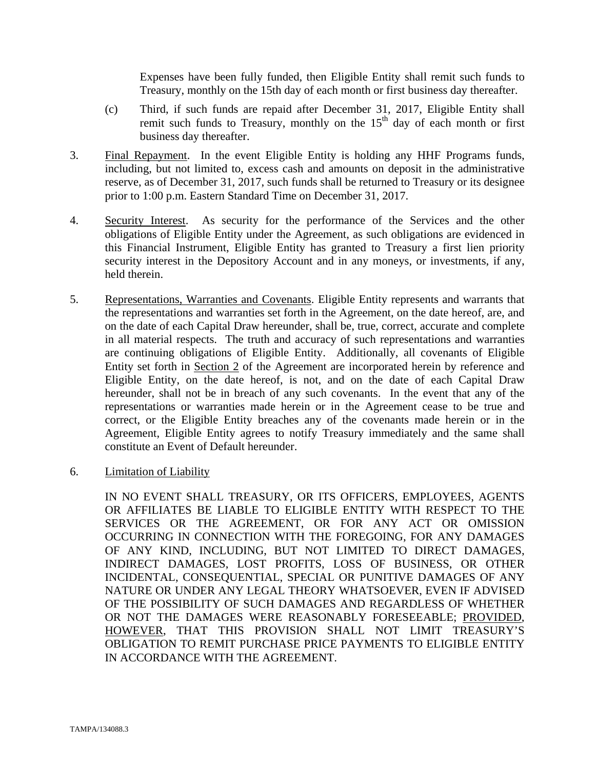Expenses have been fully funded, then Eligible Entity shall remit such funds to Treasury, monthly on the 15th day of each month or first business day thereafter.

- (c) Third, if such funds are repaid after December 31, 2017, Eligible Entity shall remit such funds to Treasury, monthly on the  $15<sup>th</sup>$  day of each month or first business day thereafter.
- 3. Final Repayment. In the event Eligible Entity is holding any HHF Programs funds, including, but not limited to, excess cash and amounts on deposit in the administrative reserve, as of December 31, 2017, such funds shall be returned to Treasury or its designee prior to 1:00 p.m. Eastern Standard Time on December 31, 2017.
- 4. Security Interest. As security for the performance of the Services and the other obligations of Eligible Entity under the Agreement, as such obligations are evidenced in this Financial Instrument, Eligible Entity has granted to Treasury a first lien priority security interest in the Depository Account and in any moneys, or investments, if any, held therein.
- 5. Representations, Warranties and Covenants. Eligible Entity represents and warrants that the representations and warranties set forth in the Agreement, on the date hereof, are, and on the date of each Capital Draw hereunder, shall be, true, correct, accurate and complete in all material respects. The truth and accuracy of such representations and warranties are continuing obligations of Eligible Entity. Additionally, all covenants of Eligible Entity set forth in Section 2 of the Agreement are incorporated herein by reference and Eligible Entity, on the date hereof, is not, and on the date of each Capital Draw hereunder, shall not be in breach of any such covenants. In the event that any of the representations or warranties made herein or in the Agreement cease to be true and correct, or the Eligible Entity breaches any of the covenants made herein or in the Agreement, Eligible Entity agrees to notify Treasury immediately and the same shall constitute an Event of Default hereunder.
- 6. Limitation of Liability

IN NO EVENT SHALL TREASURY, OR ITS OFFICERS, EMPLOYEES, AGENTS OR AFFILIATES BE LIABLE TO ELIGIBLE ENTITY WITH RESPECT TO THE SERVICES OR THE AGREEMENT, OR FOR ANY ACT OR OMISSION OCCURRING IN CONNECTION WITH THE FOREGOING, FOR ANY DAMAGES OF ANY KIND, INCLUDING, BUT NOT LIMITED TO DIRECT DAMAGES, INDIRECT DAMAGES, LOST PROFITS, LOSS OF BUSINESS, OR OTHER INCIDENTAL, CONSEQUENTIAL, SPECIAL OR PUNITIVE DAMAGES OF ANY NATURE OR UNDER ANY LEGAL THEORY WHATSOEVER, EVEN IF ADVISED OF THE POSSIBILITY OF SUCH DAMAGES AND REGARDLESS OF WHETHER OR NOT THE DAMAGES WERE REASONABLY FORESEEABLE; PROVIDED, HOWEVER, THAT THIS PROVISION SHALL NOT LIMIT TREASURY'S OBLIGATION TO REMIT PURCHASE PRICE PAYMENTS TO ELIGIBLE ENTITY IN ACCORDANCE WITH THE AGREEMENT.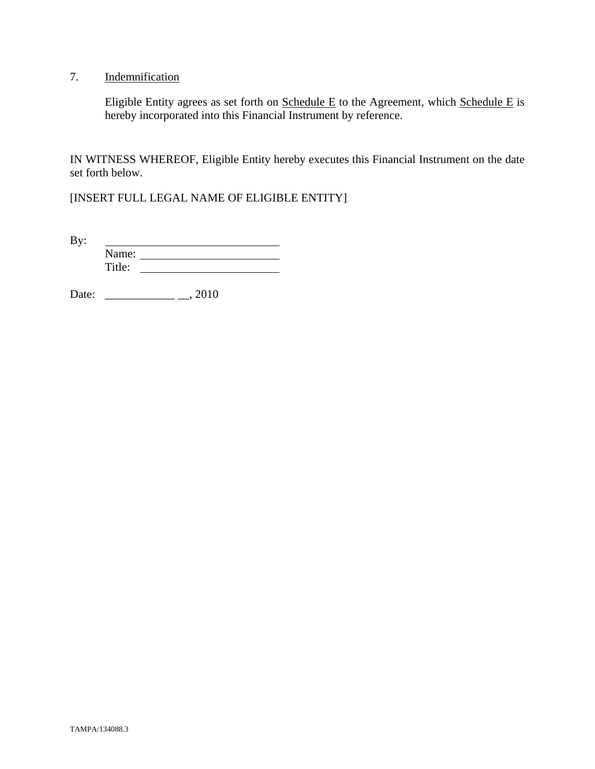# 7. Indemnification

Eligible Entity agrees as set forth on  $S$ chedule E to the Agreement, which  $S$ chedule E is hereby incorporated into this Financial Instrument by reference.

IN WITNESS WHEREOF, Eligible Entity hereby executes this Financial Instrument on the date set forth below.

[INSERT FULL LEGAL NAME OF ELIGIBLE ENTITY]

By: <u> 1989 - Johann Barbara, martin a</u> Name: Title:

Date: \_\_\_\_\_\_\_\_\_\_\_\_ \_\_, 2010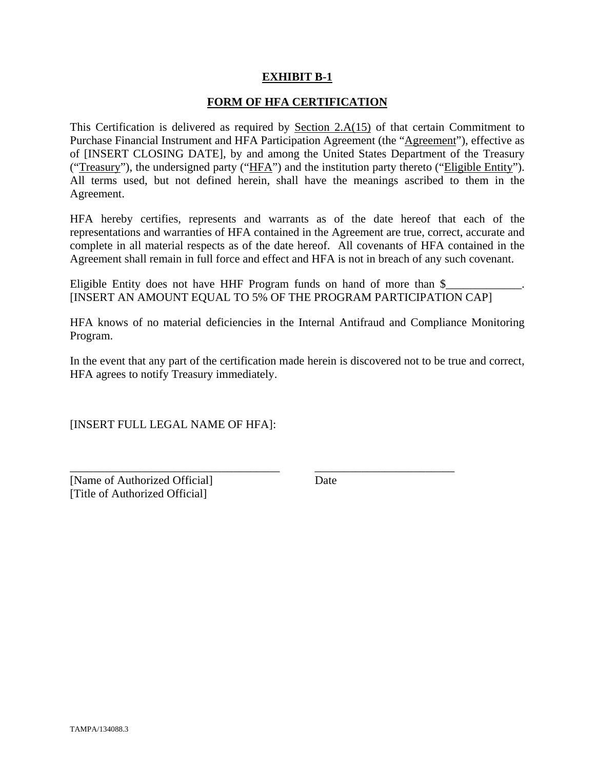## **EXHIBIT B-1**

## **FORM OF HFA CERTIFICATION**

This Certification is delivered as required by Section  $2.A(15)$  of that certain Commitment to Purchase Financial Instrument and HFA Participation Agreement (the "Agreement"), effective as of [INSERT CLOSING DATE], by and among the United States Department of the Treasury ("Treasury"), the undersigned party ("HFA") and the institution party thereto ("Eligible Entity"). All terms used, but not defined herein, shall have the meanings ascribed to them in the Agreement.

HFA hereby certifies, represents and warrants as of the date hereof that each of the representations and warranties of HFA contained in the Agreement are true, correct, accurate and complete in all material respects as of the date hereof. All covenants of HFA contained in the Agreement shall remain in full force and effect and HFA is not in breach of any such covenant.

Eligible Entity does not have HHF Program funds on hand of more than  $\frac{1}{2}$ [INSERT AN AMOUNT EQUAL TO 5% OF THE PROGRAM PARTICIPATION CAP]

HFA knows of no material deficiencies in the Internal Antifraud and Compliance Monitoring Program.

In the event that any part of the certification made herein is discovered not to be true and correct, HFA agrees to notify Treasury immediately.

\_\_\_\_\_\_\_\_\_\_\_\_\_\_\_\_\_\_\_\_\_\_\_\_\_\_\_\_\_\_\_\_\_\_\_\_ \_\_\_\_\_\_\_\_\_\_\_\_\_\_\_\_\_\_\_\_\_\_\_\_

[INSERT FULL LEGAL NAME OF HFA]:

[Name of Authorized Official] Date [Title of Authorized Official]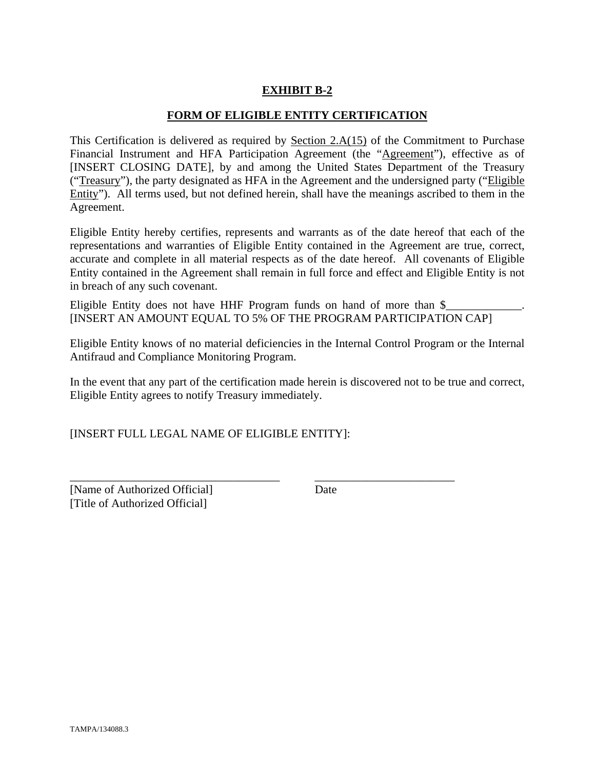# **EXHIBIT B-2**

## **FORM OF ELIGIBLE ENTITY CERTIFICATION**

This Certification is delivered as required by Section 2.A(15) of the Commitment to Purchase Financial Instrument and HFA Participation Agreement (the "Agreement"), effective as of [INSERT CLOSING DATE], by and among the United States Department of the Treasury ("Treasury"), the party designated as HFA in the Agreement and the undersigned party ("Eligible Entity"). All terms used, but not defined herein, shall have the meanings ascribed to them in the Agreement.

Eligible Entity hereby certifies, represents and warrants as of the date hereof that each of the representations and warranties of Eligible Entity contained in the Agreement are true, correct, accurate and complete in all material respects as of the date hereof. All covenants of Eligible Entity contained in the Agreement shall remain in full force and effect and Eligible Entity is not in breach of any such covenant.

Eligible Entity does not have HHF Program funds on hand of more than  $\$ [INSERT AN AMOUNT EQUAL TO 5% OF THE PROGRAM PARTICIPATION CAP]

Eligible Entity knows of no material deficiencies in the Internal Control Program or the Internal Antifraud and Compliance Monitoring Program.

In the event that any part of the certification made herein is discovered not to be true and correct, Eligible Entity agrees to notify Treasury immediately.

\_\_\_\_\_\_\_\_\_\_\_\_\_\_\_\_\_\_\_\_\_\_\_\_\_\_\_\_\_\_\_\_\_\_\_\_ \_\_\_\_\_\_\_\_\_\_\_\_\_\_\_\_\_\_\_\_\_\_\_\_

[INSERT FULL LEGAL NAME OF ELIGIBLE ENTITY]:

[Name of Authorized Official] Date [Title of Authorized Official]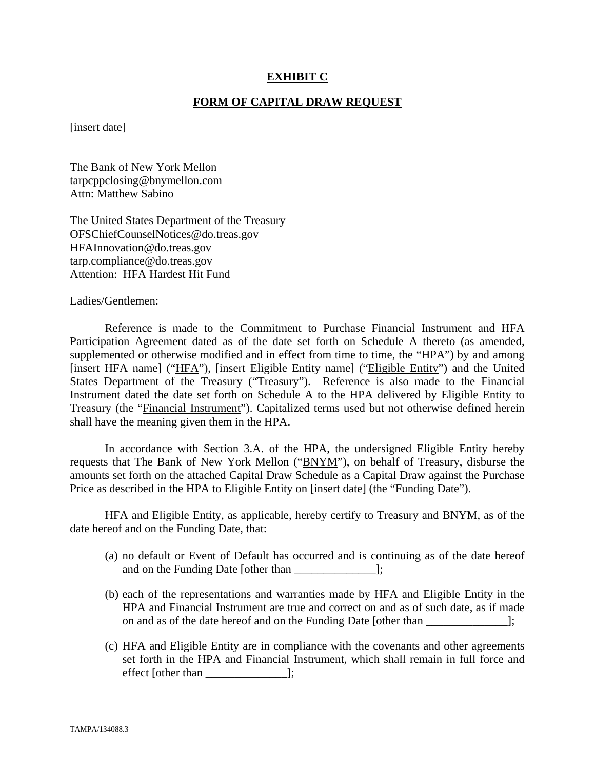## **EXHIBIT C**

## **FORM OF CAPITAL DRAW REQUEST**

[insert date]

The Bank of New York Mellon tarpcppclosing@bnymellon.com Attn: Matthew Sabino

The United States Department of the Treasury OFSChiefCounselNotices@do.treas.gov HFAInnovation@do.treas.gov tarp.compliance@do.treas.gov Attention: HFA Hardest Hit Fund

Ladies/Gentlemen:

 Reference is made to the Commitment to Purchase Financial Instrument and HFA Participation Agreement dated as of the date set forth on Schedule A thereto (as amended, supplemented or otherwise modified and in effect from time to time, the "HPA") by and among [insert HFA name] ("HFA"), [insert Eligible Entity name] ("Eligible Entity") and the United States Department of the Treasury ("Treasury"). Reference is also made to the Financial Instrument dated the date set forth on Schedule A to the HPA delivered by Eligible Entity to Treasury (the "Financial Instrument"). Capitalized terms used but not otherwise defined herein shall have the meaning given them in the HPA.

 In accordance with Section 3.A. of the HPA, the undersigned Eligible Entity hereby requests that The Bank of New York Mellon ("BNYM"), on behalf of Treasury, disburse the amounts set forth on the attached Capital Draw Schedule as a Capital Draw against the Purchase Price as described in the HPA to Eligible Entity on [insert date] (the "Funding Date").

 HFA and Eligible Entity, as applicable, hereby certify to Treasury and BNYM, as of the date hereof and on the Funding Date, that:

- (a) no default or Event of Default has occurred and is continuing as of the date hereof and on the Funding Date [other than  $\Box$ ];
- (b) each of the representations and warranties made by HFA and Eligible Entity in the HPA and Financial Instrument are true and correct on and as of such date, as if made on and as of the date hereof and on the Funding Date [other than ];
- (c) HFA and Eligible Entity are in compliance with the covenants and other agreements set forth in the HPA and Financial Instrument, which shall remain in full force and effect [other than \_\_\_\_\_\_\_\_\_\_\_\_\_\_];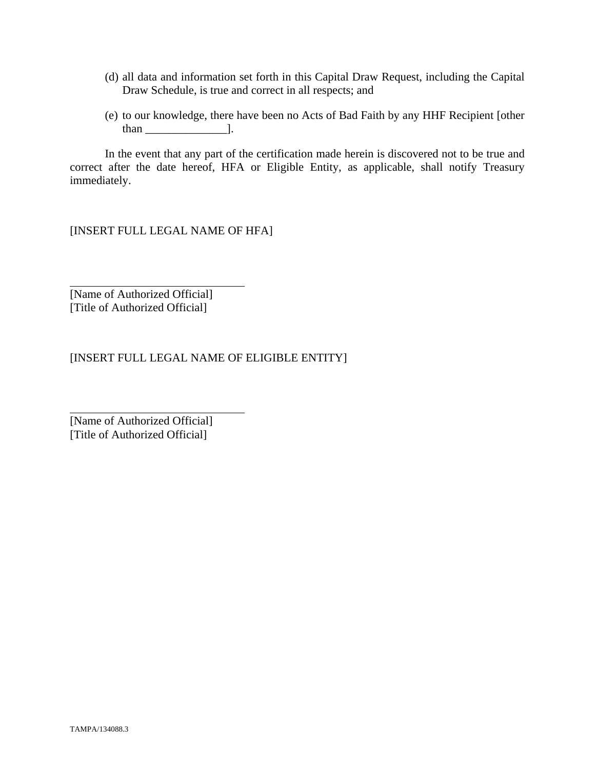- (d) all data and information set forth in this Capital Draw Request, including the Capital Draw Schedule, is true and correct in all respects; and
- (e) to our knowledge, there have been no Acts of Bad Faith by any HHF Recipient [other than  $\qquad$  ].

 In the event that any part of the certification made herein is discovered not to be true and correct after the date hereof, HFA or Eligible Entity, as applicable, shall notify Treasury immediately.

[INSERT FULL LEGAL NAME OF HFA]

[Name of Authorized Official] [Title of Authorized Official]

 $\overline{a}$ 

l

[INSERT FULL LEGAL NAME OF ELIGIBLE ENTITY]

[Name of Authorized Official] [Title of Authorized Official]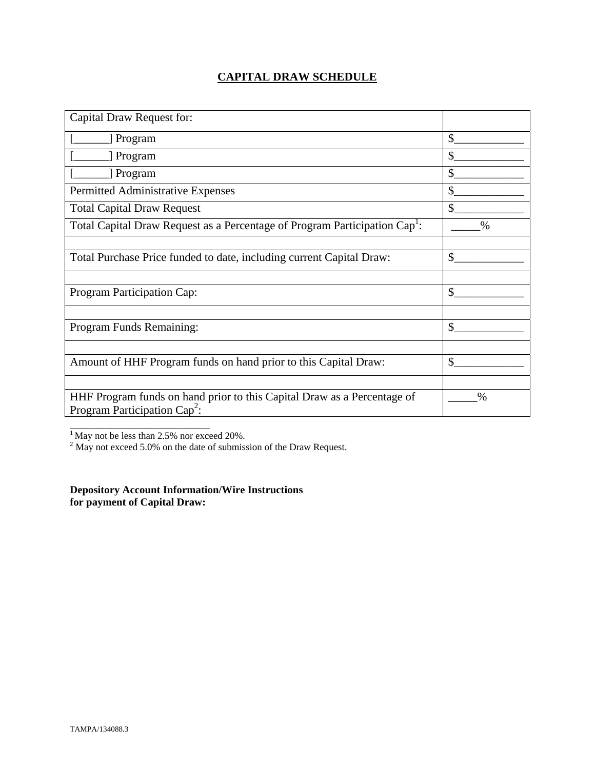# **CAPITAL DRAW SCHEDULE**

| Capital Draw Request for:                                                                                  |               |
|------------------------------------------------------------------------------------------------------------|---------------|
| [ Program                                                                                                  | \$            |
| [ Program                                                                                                  | \$            |
| Program                                                                                                    | \$            |
| Permitted Administrative Expenses                                                                          | \$            |
| <b>Total Capital Draw Request</b>                                                                          | $\mathbb{S}$  |
| Total Capital Draw Request as a Percentage of Program Participation Cap <sup>1</sup> :                     | $\frac{0}{0}$ |
|                                                                                                            |               |
| Total Purchase Price funded to date, including current Capital Draw:                                       | \$            |
|                                                                                                            |               |
| Program Participation Cap:                                                                                 | \$            |
|                                                                                                            |               |
| Program Funds Remaining:                                                                                   | $\mathcal{S}$ |
|                                                                                                            |               |
| Amount of HHF Program funds on hand prior to this Capital Draw:                                            | \$            |
|                                                                                                            |               |
| HHF Program funds on hand prior to this Capital Draw as a Percentage of<br>Program Participation $Cap^2$ : | $\%$          |
|                                                                                                            |               |

<sup>1</sup> May not be less than 2.5% nor exceed 20%.<br><sup>2</sup> May not exceed 5.0% on the date of submission of the Draw Request.

**Depository Account Information/Wire Instructions for payment of Capital Draw:**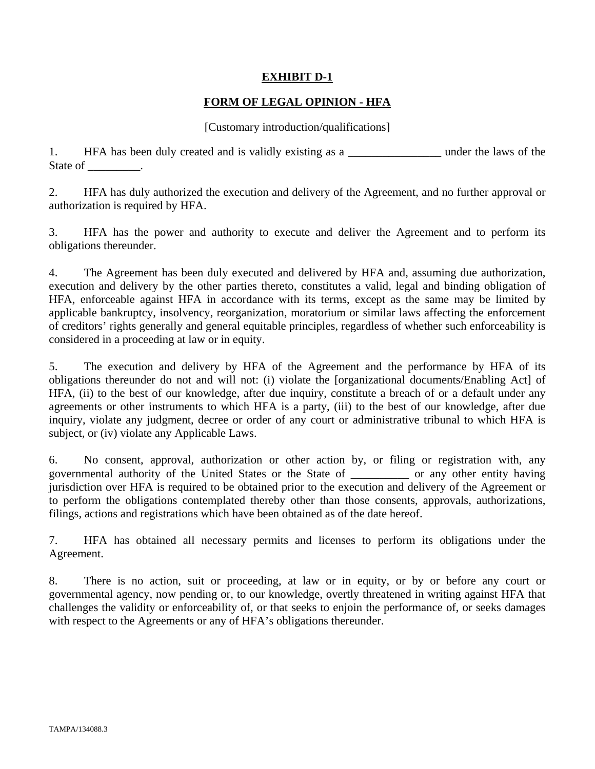## **EXHIBIT D-1**

## **FORM OF LEGAL OPINION - HFA**

## [Customary introduction/qualifications]

1. HFA has been duly created and is validly existing as a \_\_\_\_\_\_\_\_\_\_\_\_\_\_\_\_\_\_\_\_ under the laws of the State of \_\_\_\_\_\_\_\_\_.

2. HFA has duly authorized the execution and delivery of the Agreement, and no further approval or authorization is required by HFA.

3. HFA has the power and authority to execute and deliver the Agreement and to perform its obligations thereunder.

4. The Agreement has been duly executed and delivered by HFA and, assuming due authorization, execution and delivery by the other parties thereto, constitutes a valid, legal and binding obligation of HFA, enforceable against HFA in accordance with its terms, except as the same may be limited by applicable bankruptcy, insolvency, reorganization, moratorium or similar laws affecting the enforcement of creditors' rights generally and general equitable principles, regardless of whether such enforceability is considered in a proceeding at law or in equity.

5. The execution and delivery by HFA of the Agreement and the performance by HFA of its obligations thereunder do not and will not: (i) violate the [organizational documents/Enabling Act] of HFA, (ii) to the best of our knowledge, after due inquiry, constitute a breach of or a default under any agreements or other instruments to which HFA is a party, (iii) to the best of our knowledge, after due inquiry, violate any judgment, decree or order of any court or administrative tribunal to which HFA is subject, or (iv) violate any Applicable Laws.

6. No consent, approval, authorization or other action by, or filing or registration with, any governmental authority of the United States or the State of \_\_\_\_\_\_\_\_\_\_ or any other entity having jurisdiction over HFA is required to be obtained prior to the execution and delivery of the Agreement or to perform the obligations contemplated thereby other than those consents, approvals, authorizations, filings, actions and registrations which have been obtained as of the date hereof.

7. HFA has obtained all necessary permits and licenses to perform its obligations under the Agreement.

8. There is no action, suit or proceeding, at law or in equity, or by or before any court or governmental agency, now pending or, to our knowledge, overtly threatened in writing against HFA that challenges the validity or enforceability of, or that seeks to enjoin the performance of, or seeks damages with respect to the Agreements or any of HFA's obligations thereunder.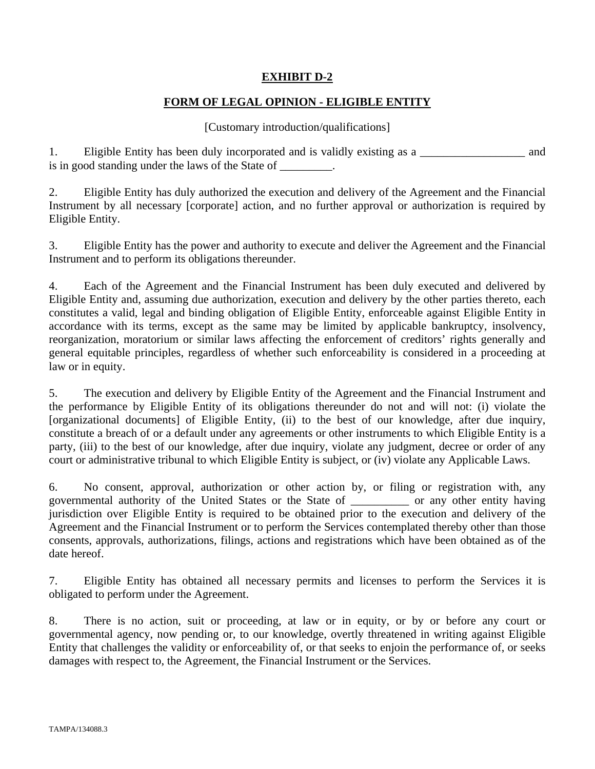# **EXHIBIT D-2**

# **FORM OF LEGAL OPINION - ELIGIBLE ENTITY**

## [Customary introduction/qualifications]

1. Eligible Entity has been duly incorporated and is validly existing as a \_\_\_\_\_\_\_\_\_\_\_\_\_\_\_\_\_\_ and is in good standing under the laws of the State of \_\_\_\_\_\_\_\_.

2. Eligible Entity has duly authorized the execution and delivery of the Agreement and the Financial Instrument by all necessary [corporate] action, and no further approval or authorization is required by Eligible Entity.

3. Eligible Entity has the power and authority to execute and deliver the Agreement and the Financial Instrument and to perform its obligations thereunder.

4. Each of the Agreement and the Financial Instrument has been duly executed and delivered by Eligible Entity and, assuming due authorization, execution and delivery by the other parties thereto, each constitutes a valid, legal and binding obligation of Eligible Entity, enforceable against Eligible Entity in accordance with its terms, except as the same may be limited by applicable bankruptcy, insolvency, reorganization, moratorium or similar laws affecting the enforcement of creditors' rights generally and general equitable principles, regardless of whether such enforceability is considered in a proceeding at law or in equity.

5. The execution and delivery by Eligible Entity of the Agreement and the Financial Instrument and the performance by Eligible Entity of its obligations thereunder do not and will not: (i) violate the [organizational documents] of Eligible Entity, (ii) to the best of our knowledge, after due inquiry, constitute a breach of or a default under any agreements or other instruments to which Eligible Entity is a party, (iii) to the best of our knowledge, after due inquiry, violate any judgment, decree or order of any court or administrative tribunal to which Eligible Entity is subject, or (iv) violate any Applicable Laws.

6. No consent, approval, authorization or other action by, or filing or registration with, any governmental authority of the United States or the State of \_\_\_\_\_\_\_\_\_\_ or any other entity having jurisdiction over Eligible Entity is required to be obtained prior to the execution and delivery of the Agreement and the Financial Instrument or to perform the Services contemplated thereby other than those consents, approvals, authorizations, filings, actions and registrations which have been obtained as of the date hereof.

7. Eligible Entity has obtained all necessary permits and licenses to perform the Services it is obligated to perform under the Agreement.

8. There is no action, suit or proceeding, at law or in equity, or by or before any court or governmental agency, now pending or, to our knowledge, overtly threatened in writing against Eligible Entity that challenges the validity or enforceability of, or that seeks to enjoin the performance of, or seeks damages with respect to, the Agreement, the Financial Instrument or the Services.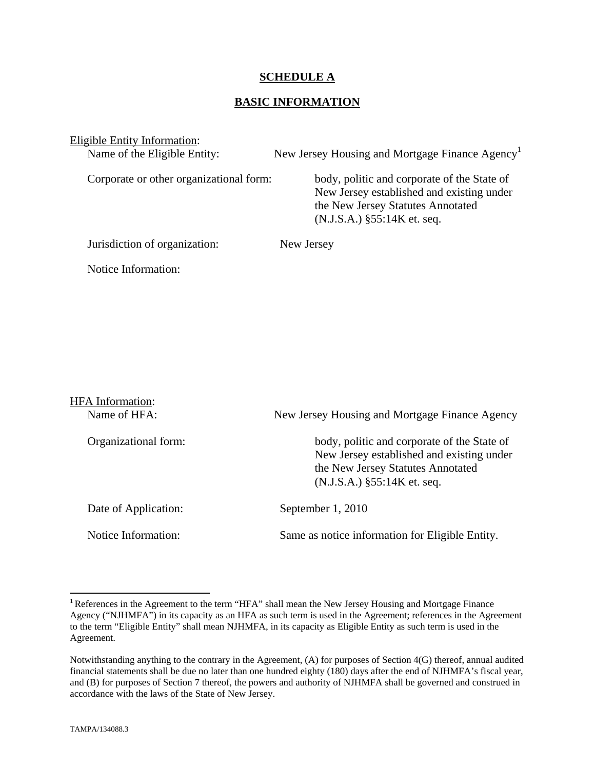## **SCHEDULE A**

## **BASIC INFORMATION**

Eligible Entity Information:

Name of the Eligible Entity: New Jersey Housing and Mortgage Finance  $\text{Agency}^1$ 

Corporate or other organizational form: body, politic and corporate of the State of New Jersey established and existing under the New Jersey Statutes Annotated (N.J.S.A.) §55:14K et. seq.

Jurisdiction of organization: New Jersey

Notice Information:

| <b>HFA</b> Information: |                                                                                                                                                                                                                  |  |
|-------------------------|------------------------------------------------------------------------------------------------------------------------------------------------------------------------------------------------------------------|--|
| Name of HFA:            | New Jersey Housing and Mortgage Finance Agency<br>body, politic and corporate of the State of<br>New Jersey established and existing under<br>the New Jersey Statutes Annotated<br>$(N.J.S.A.)$ §55:14K et. seq. |  |
| Organizational form:    |                                                                                                                                                                                                                  |  |
| Date of Application:    | September 1, 2010                                                                                                                                                                                                |  |
| Notice Information:     | Same as notice information for Eligible Entity.                                                                                                                                                                  |  |

 $\overline{a}$ 

<sup>&</sup>lt;sup>1</sup> References in the Agreement to the term "HFA" shall mean the New Jersey Housing and Mortgage Finance Agency ("NJHMFA") in its capacity as an HFA as such term is used in the Agreement; references in the Agreement to the term "Eligible Entity" shall mean NJHMFA, in its capacity as Eligible Entity as such term is used in the Agreement.

Notwithstanding anything to the contrary in the Agreement, (A) for purposes of Section 4(G) thereof, annual audited financial statements shall be due no later than one hundred eighty (180) days after the end of NJHMFA's fiscal year, and (B) for purposes of Section 7 thereof, the powers and authority of NJHMFA shall be governed and construed in accordance with the laws of the State of New Jersey.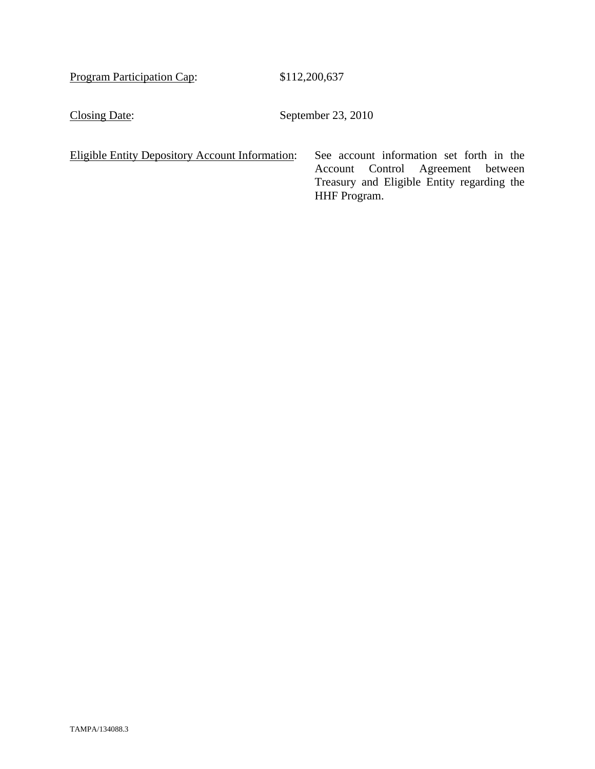Program Participation Cap: \$112,200,637

Closing Date: September 23, 2010

Eligible Entity Depository Account Information: See account information set forth in the

Account Control Agreement between Treasury and Eligible Entity regarding the HHF Program.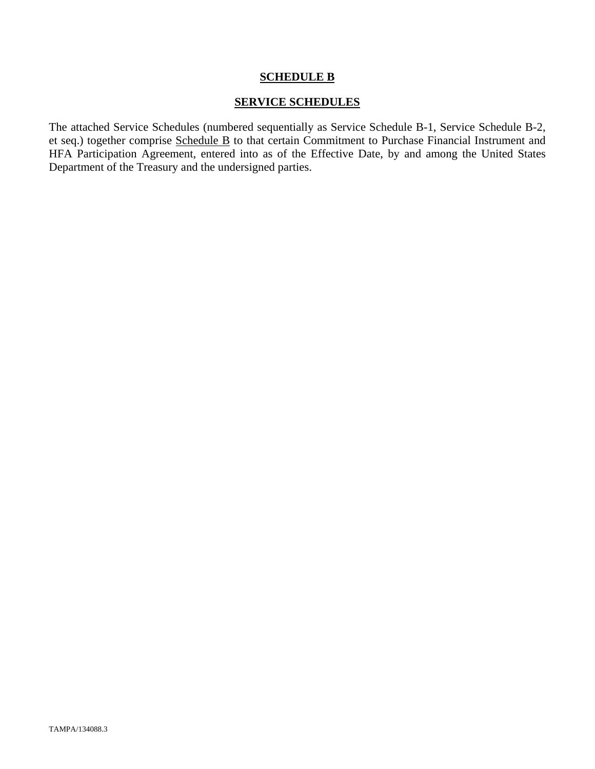## **SCHEDULE B**

## **SERVICE SCHEDULES**

The attached Service Schedules (numbered sequentially as Service Schedule B-1, Service Schedule B-2, et seq.) together comprise Schedule B to that certain Commitment to Purchase Financial Instrument and HFA Participation Agreement, entered into as of the Effective Date, by and among the United States Department of the Treasury and the undersigned parties.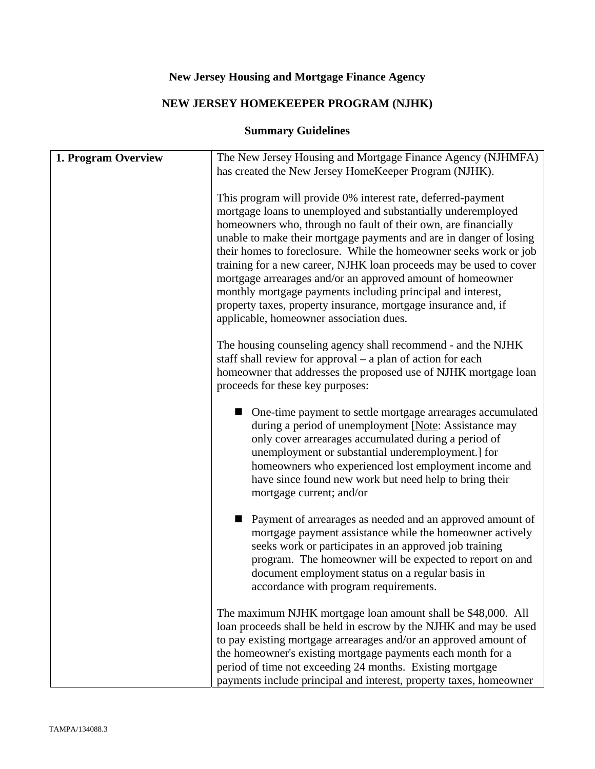# **New Jersey Housing and Mortgage Finance Agency**

# **NEW JERSEY HOMEKEEPER PROGRAM (NJHK)**

# **Summary Guidelines**

| 1. Program Overview | The New Jersey Housing and Mortgage Finance Agency (NJHMFA)<br>has created the New Jersey HomeKeeper Program (NJHK).                                                                                                                                                                                                                                                                                                                                                                                                                                                                                                                                      |
|---------------------|-----------------------------------------------------------------------------------------------------------------------------------------------------------------------------------------------------------------------------------------------------------------------------------------------------------------------------------------------------------------------------------------------------------------------------------------------------------------------------------------------------------------------------------------------------------------------------------------------------------------------------------------------------------|
|                     | This program will provide 0% interest rate, deferred-payment<br>mortgage loans to unemployed and substantially underemployed<br>homeowners who, through no fault of their own, are financially<br>unable to make their mortgage payments and are in danger of losing<br>their homes to foreclosure. While the homeowner seeks work or job<br>training for a new career, NJHK loan proceeds may be used to cover<br>mortgage arrearages and/or an approved amount of homeowner<br>monthly mortgage payments including principal and interest,<br>property taxes, property insurance, mortgage insurance and, if<br>applicable, homeowner association dues. |
|                     | The housing counseling agency shall recommend - and the NJHK<br>staff shall review for approval $-$ a plan of action for each<br>homeowner that addresses the proposed use of NJHK mortgage loan<br>proceeds for these key purposes:                                                                                                                                                                                                                                                                                                                                                                                                                      |
|                     | One-time payment to settle mortgage arrearages accumulated<br>during a period of unemployment [Note: Assistance may<br>only cover arrearages accumulated during a period of<br>unemployment or substantial underemployment.] for<br>homeowners who experienced lost employment income and<br>have since found new work but need help to bring their<br>mortgage current; and/or                                                                                                                                                                                                                                                                           |
|                     | Payment of arrearages as needed and an approved amount of<br>mortgage payment assistance while the homeowner actively<br>seeks work or participates in an approved job training<br>program. The homeowner will be expected to report on and<br>document employment status on a regular basis in<br>accordance with program requirements.                                                                                                                                                                                                                                                                                                                  |
|                     | The maximum NJHK mortgage loan amount shall be \$48,000. All<br>loan proceeds shall be held in escrow by the NJHK and may be used<br>to pay existing mortgage arrearages and/or an approved amount of<br>the homeowner's existing mortgage payments each month for a<br>period of time not exceeding 24 months. Existing mortgage<br>payments include principal and interest, property taxes, homeowner                                                                                                                                                                                                                                                   |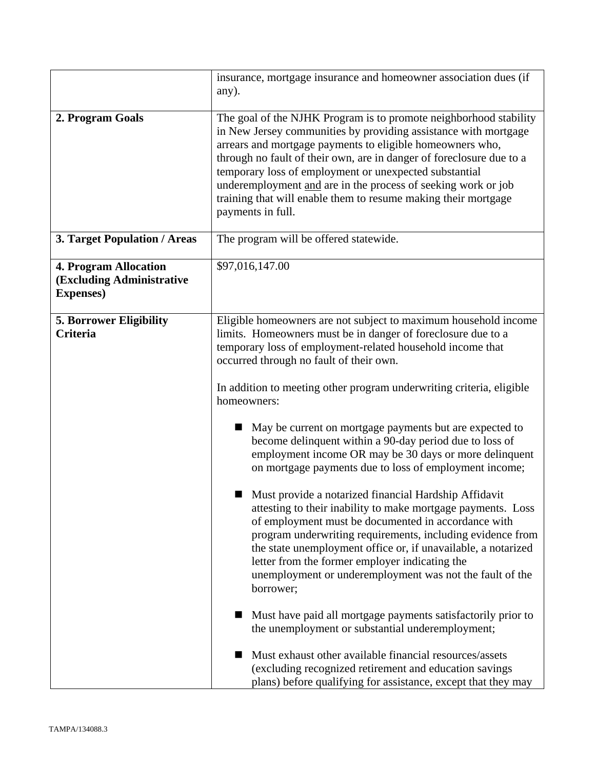|                                                                                | insurance, mortgage insurance and homeowner association dues (if                                                                                                                                                                                                                                                                                                                                                                                                                                                                                                                                                                                                                                                                                                                                                                                                                                                                                                                                                                                                                                                                                                                                                                                                                                                              |
|--------------------------------------------------------------------------------|-------------------------------------------------------------------------------------------------------------------------------------------------------------------------------------------------------------------------------------------------------------------------------------------------------------------------------------------------------------------------------------------------------------------------------------------------------------------------------------------------------------------------------------------------------------------------------------------------------------------------------------------------------------------------------------------------------------------------------------------------------------------------------------------------------------------------------------------------------------------------------------------------------------------------------------------------------------------------------------------------------------------------------------------------------------------------------------------------------------------------------------------------------------------------------------------------------------------------------------------------------------------------------------------------------------------------------|
|                                                                                | any).                                                                                                                                                                                                                                                                                                                                                                                                                                                                                                                                                                                                                                                                                                                                                                                                                                                                                                                                                                                                                                                                                                                                                                                                                                                                                                                         |
| 2. Program Goals                                                               | The goal of the NJHK Program is to promote neighborhood stability<br>in New Jersey communities by providing assistance with mortgage<br>arrears and mortgage payments to eligible homeowners who,<br>through no fault of their own, are in danger of foreclosure due to a<br>temporary loss of employment or unexpected substantial<br>underemployment and are in the process of seeking work or job<br>training that will enable them to resume making their mortgage<br>payments in full.                                                                                                                                                                                                                                                                                                                                                                                                                                                                                                                                                                                                                                                                                                                                                                                                                                   |
| <b>3. Target Population / Areas</b>                                            | The program will be offered statewide.                                                                                                                                                                                                                                                                                                                                                                                                                                                                                                                                                                                                                                                                                                                                                                                                                                                                                                                                                                                                                                                                                                                                                                                                                                                                                        |
| <b>4. Program Allocation</b><br>(Excluding Administrative<br><b>Expenses</b> ) | \$97,016,147.00                                                                                                                                                                                                                                                                                                                                                                                                                                                                                                                                                                                                                                                                                                                                                                                                                                                                                                                                                                                                                                                                                                                                                                                                                                                                                                               |
| <b>5. Borrower Eligibility</b><br><b>Criteria</b>                              | Eligible homeowners are not subject to maximum household income<br>limits. Homeowners must be in danger of foreclosure due to a<br>temporary loss of employment-related household income that<br>occurred through no fault of their own.<br>In addition to meeting other program underwriting criteria, eligible<br>homeowners:<br>May be current on mortgage payments but are expected to<br>become delinquent within a 90-day period due to loss of<br>employment income OR may be 30 days or more delinquent<br>on mortgage payments due to loss of employment income;<br>Must provide a notarized financial Hardship Affidavit<br>attesting to their inability to make mortgage payments. Loss<br>of employment must be documented in accordance with<br>program underwriting requirements, including evidence from<br>the state unemployment office or, if unavailable, a notarized<br>letter from the former employer indicating the<br>unemployment or underemployment was not the fault of the<br>borrower;<br>Must have paid all mortgage payments satisfactorily prior to<br>the unemployment or substantial underemployment;<br>Must exhaust other available financial resources/assets<br>(excluding recognized retirement and education savings<br>plans) before qualifying for assistance, except that they may |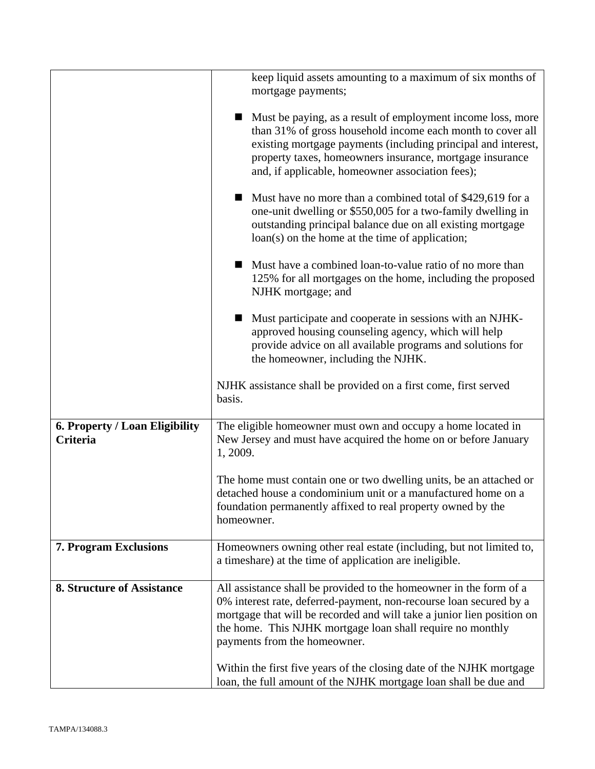|                                            | keep liquid assets amounting to a maximum of six months of<br>mortgage payments;                                                                                                                                                                                                                                 |
|--------------------------------------------|------------------------------------------------------------------------------------------------------------------------------------------------------------------------------------------------------------------------------------------------------------------------------------------------------------------|
|                                            | Must be paying, as a result of employment income loss, more<br>than 31% of gross household income each month to cover all<br>existing mortgage payments (including principal and interest,<br>property taxes, homeowners insurance, mortgage insurance<br>and, if applicable, homeowner association fees);       |
|                                            | Must have no more than a combined total of \$429,619 for a<br>one-unit dwelling or \$550,005 for a two-family dwelling in<br>outstanding principal balance due on all existing mortgage<br>$\text{loan}(s)$ on the home at the time of application;                                                              |
|                                            | Must have a combined loan-to-value ratio of no more than<br>125% for all mortgages on the home, including the proposed<br>NJHK mortgage; and                                                                                                                                                                     |
|                                            | Must participate and cooperate in sessions with an NJHK-<br>approved housing counseling agency, which will help<br>provide advice on all available programs and solutions for<br>the homeowner, including the NJHK.                                                                                              |
|                                            | NJHK assistance shall be provided on a first come, first served<br>basis.                                                                                                                                                                                                                                        |
| 6. Property / Loan Eligibility<br>Criteria | The eligible homeowner must own and occupy a home located in<br>New Jersey and must have acquired the home on or before January<br>1, 2009.                                                                                                                                                                      |
|                                            | The home must contain one or two dwelling units, be an attached or<br>detached house a condominium unit or a manufactured home on a<br>foundation permanently affixed to real property owned by the<br>homeowner.                                                                                                |
| <b>7. Program Exclusions</b>               | Homeowners owning other real estate (including, but not limited to,<br>a timeshare) at the time of application are ineligible.                                                                                                                                                                                   |
| <b>8. Structure of Assistance</b>          | All assistance shall be provided to the homeowner in the form of a<br>0% interest rate, deferred-payment, non-recourse loan secured by a<br>mortgage that will be recorded and will take a junior lien position on<br>the home. This NJHK mortgage loan shall require no monthly<br>payments from the homeowner. |
|                                            | Within the first five years of the closing date of the NJHK mortgage<br>loan, the full amount of the NJHK mortgage loan shall be due and                                                                                                                                                                         |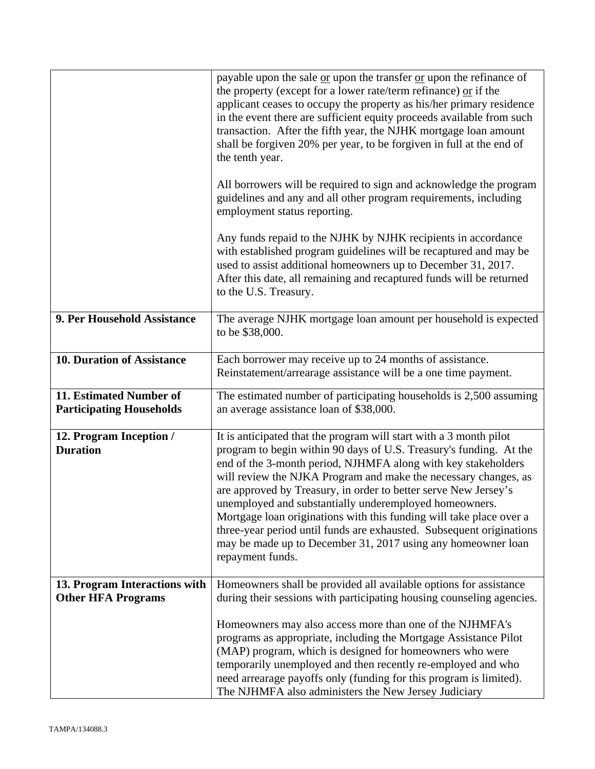|                                                            | payable upon the sale or upon the transfer or upon the refinance of<br>the property (except for a lower rate/term refinance) or if the<br>applicant ceases to occupy the property as his/her primary residence<br>in the event there are sufficient equity proceeds available from such<br>transaction. After the fifth year, the NJHK mortgage loan amount<br>shall be forgiven 20% per year, to be forgiven in full at the end of<br>the tenth year.                                                                                                                                                                                      |
|------------------------------------------------------------|---------------------------------------------------------------------------------------------------------------------------------------------------------------------------------------------------------------------------------------------------------------------------------------------------------------------------------------------------------------------------------------------------------------------------------------------------------------------------------------------------------------------------------------------------------------------------------------------------------------------------------------------|
|                                                            | All borrowers will be required to sign and acknowledge the program<br>guidelines and any and all other program requirements, including<br>employment status reporting.                                                                                                                                                                                                                                                                                                                                                                                                                                                                      |
|                                                            | Any funds repaid to the NJHK by NJHK recipients in accordance<br>with established program guidelines will be recaptured and may be<br>used to assist additional homeowners up to December 31, 2017.<br>After this date, all remaining and recaptured funds will be returned<br>to the U.S. Treasury.                                                                                                                                                                                                                                                                                                                                        |
| 9. Per Household Assistance                                | The average NJHK mortgage loan amount per household is expected<br>to be \$38,000.                                                                                                                                                                                                                                                                                                                                                                                                                                                                                                                                                          |
| <b>10. Duration of Assistance</b>                          | Each borrower may receive up to 24 months of assistance.<br>Reinstatement/arrearage assistance will be a one time payment.                                                                                                                                                                                                                                                                                                                                                                                                                                                                                                                  |
| 11. Estimated Number of<br><b>Participating Households</b> | The estimated number of participating households is 2,500 assuming<br>an average assistance loan of \$38,000.                                                                                                                                                                                                                                                                                                                                                                                                                                                                                                                               |
| 12. Program Inception /<br><b>Duration</b>                 | It is anticipated that the program will start with a 3 month pilot<br>program to begin within 90 days of U.S. Treasury's funding. At the<br>end of the 3-month period, NJHMFA along with key stakeholders<br>will review the NJKA Program and make the necessary changes, as<br>are approved by Treasury, in order to better serve New Jersey's<br>unemployed and substantially underemployed homeowners<br>Mortgage loan originations with this funding will take place over a<br>three-year period until funds are exhausted. Subsequent originations<br>may be made up to December 31, 2017 using any homeowner loan<br>repayment funds. |
| 13. Program Interactions with<br><b>Other HFA Programs</b> | Homeowners shall be provided all available options for assistance<br>during their sessions with participating housing counseling agencies.                                                                                                                                                                                                                                                                                                                                                                                                                                                                                                  |
|                                                            | Homeowners may also access more than one of the NJHMFA's<br>programs as appropriate, including the Mortgage Assistance Pilot<br>(MAP) program, which is designed for homeowners who were<br>temporarily unemployed and then recently re-employed and who<br>need arrearage payoffs only (funding for this program is limited).<br>The NJHMFA also administers the New Jersey Judiciary                                                                                                                                                                                                                                                      |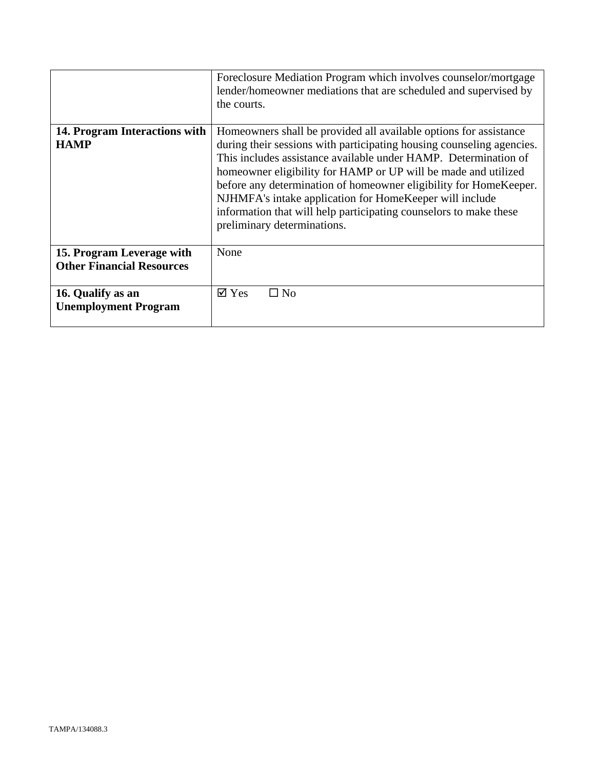|                                                               | Foreclosure Mediation Program which involves counselor/mortgage<br>lender/homeowner mediations that are scheduled and supervised by<br>the courts.                                                                                                                                                                                                                                                                                                                                                                  |
|---------------------------------------------------------------|---------------------------------------------------------------------------------------------------------------------------------------------------------------------------------------------------------------------------------------------------------------------------------------------------------------------------------------------------------------------------------------------------------------------------------------------------------------------------------------------------------------------|
| 14. Program Interactions with<br><b>HAMP</b>                  | Homeowners shall be provided all available options for assistance<br>during their sessions with participating housing counseling agencies.<br>This includes assistance available under HAMP. Determination of<br>homeowner eligibility for HAMP or UP will be made and utilized<br>before any determination of homeowner eligibility for HomeKeeper.<br>NJHMFA's intake application for HomeKeeper will include<br>information that will help participating counselors to make these<br>preliminary determinations. |
| 15. Program Leverage with<br><b>Other Financial Resources</b> | None                                                                                                                                                                                                                                                                                                                                                                                                                                                                                                                |
| 16. Qualify as an<br><b>Unemployment Program</b>              | $\overline{\mathsf{Z}}$ Yes<br>$\square$ No                                                                                                                                                                                                                                                                                                                                                                                                                                                                         |